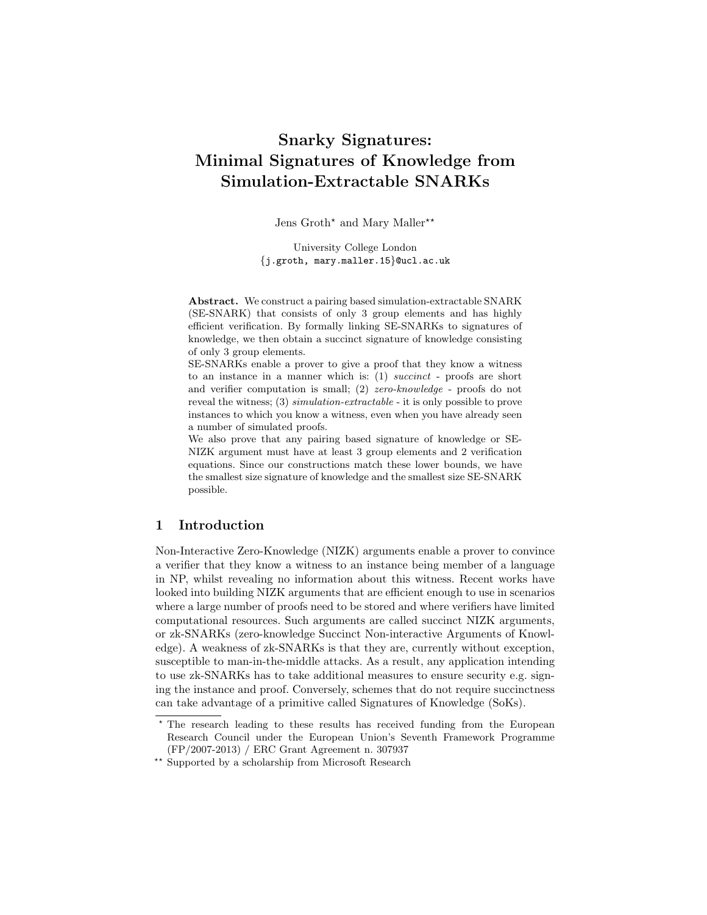# Snarky Signatures: Minimal Signatures of Knowledge from Simulation-Extractable SNARKs

Jens Groth\* and Mary Maller\*\*

University College London {j.groth, mary.maller.15}@ucl.ac.uk

Abstract. We construct a pairing based simulation-extractable SNARK (SE-SNARK) that consists of only 3 group elements and has highly efficient verification. By formally linking SE-SNARKs to signatures of knowledge, we then obtain a succinct signature of knowledge consisting of only 3 group elements.

SE-SNARKs enable a prover to give a proof that they know a witness to an instance in a manner which is: (1) succinct - proofs are short and verifier computation is small; (2) zero-knowledge - proofs do not reveal the witness; (3) simulation-extractable - it is only possible to prove instances to which you know a witness, even when you have already seen a number of simulated proofs.

We also prove that any pairing based signature of knowledge or SE-NIZK argument must have at least 3 group elements and 2 verification equations. Since our constructions match these lower bounds, we have the smallest size signature of knowledge and the smallest size SE-SNARK possible.

# 1 Introduction

Non-Interactive Zero-Knowledge (NIZK) arguments enable a prover to convince a verifier that they know a witness to an instance being member of a language in NP, whilst revealing no information about this witness. Recent works have looked into building NIZK arguments that are efficient enough to use in scenarios where a large number of proofs need to be stored and where verifiers have limited computational resources. Such arguments are called succinct NIZK arguments, or zk-SNARKs (zero-knowledge Succinct Non-interactive Arguments of Knowledge). A weakness of zk-SNARKs is that they are, currently without exception, susceptible to man-in-the-middle attacks. As a result, any application intending to use zk-SNARKs has to take additional measures to ensure security e.g. signing the instance and proof. Conversely, schemes that do not require succinctness can take advantage of a primitive called Signatures of Knowledge (SoKs).

<sup>?</sup> The research leading to these results has received funding from the European Research Council under the European Union's Seventh Framework Programme (FP/2007-2013) / ERC Grant Agreement n. 307937

<sup>\*\*</sup> Supported by a scholarship from Microsoft Research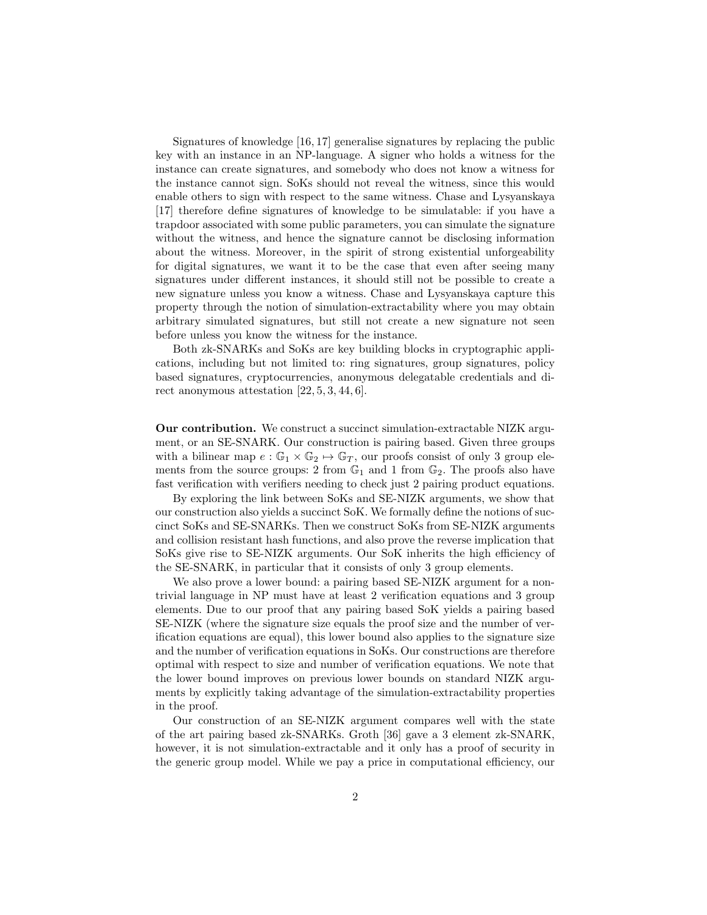Signatures of knowledge [16, 17] generalise signatures by replacing the public key with an instance in an NP-language. A signer who holds a witness for the instance can create signatures, and somebody who does not know a witness for the instance cannot sign. SoKs should not reveal the witness, since this would enable others to sign with respect to the same witness. Chase and Lysyanskaya [17] therefore define signatures of knowledge to be simulatable: if you have a trapdoor associated with some public parameters, you can simulate the signature without the witness, and hence the signature cannot be disclosing information about the witness. Moreover, in the spirit of strong existential unforgeability for digital signatures, we want it to be the case that even after seeing many signatures under different instances, it should still not be possible to create a new signature unless you know a witness. Chase and Lysyanskaya capture this property through the notion of simulation-extractability where you may obtain arbitrary simulated signatures, but still not create a new signature not seen before unless you know the witness for the instance.

Both zk-SNARKs and SoKs are key building blocks in cryptographic applications, including but not limited to: ring signatures, group signatures, policy based signatures, cryptocurrencies, anonymous delegatable credentials and direct anonymous attestation [22, 5, 3, 44, 6].

Our contribution. We construct a succinct simulation-extractable NIZK argument, or an SE-SNARK. Our construction is pairing based. Given three groups with a bilinear map  $e : \mathbb{G}_1 \times \mathbb{G}_2 \mapsto \mathbb{G}_T$ , our proofs consist of only 3 group elements from the source groups: 2 from  $\mathbb{G}_1$  and 1 from  $\mathbb{G}_2$ . The proofs also have fast verification with verifiers needing to check just 2 pairing product equations.

By exploring the link between SoKs and SE-NIZK arguments, we show that our construction also yields a succinct SoK. We formally define the notions of succinct SoKs and SE-SNARKs. Then we construct SoKs from SE-NIZK arguments and collision resistant hash functions, and also prove the reverse implication that SoKs give rise to SE-NIZK arguments. Our SoK inherits the high efficiency of the SE-SNARK, in particular that it consists of only 3 group elements.

We also prove a lower bound: a pairing based SE-NIZK argument for a nontrivial language in NP must have at least 2 verification equations and 3 group elements. Due to our proof that any pairing based SoK yields a pairing based SE-NIZK (where the signature size equals the proof size and the number of verification equations are equal), this lower bound also applies to the signature size and the number of verification equations in SoKs. Our constructions are therefore optimal with respect to size and number of verification equations. We note that the lower bound improves on previous lower bounds on standard NIZK arguments by explicitly taking advantage of the simulation-extractability properties in the proof.

Our construction of an SE-NIZK argument compares well with the state of the art pairing based zk-SNARKs. Groth [36] gave a 3 element zk-SNARK, however, it is not simulation-extractable and it only has a proof of security in the generic group model. While we pay a price in computational efficiency, our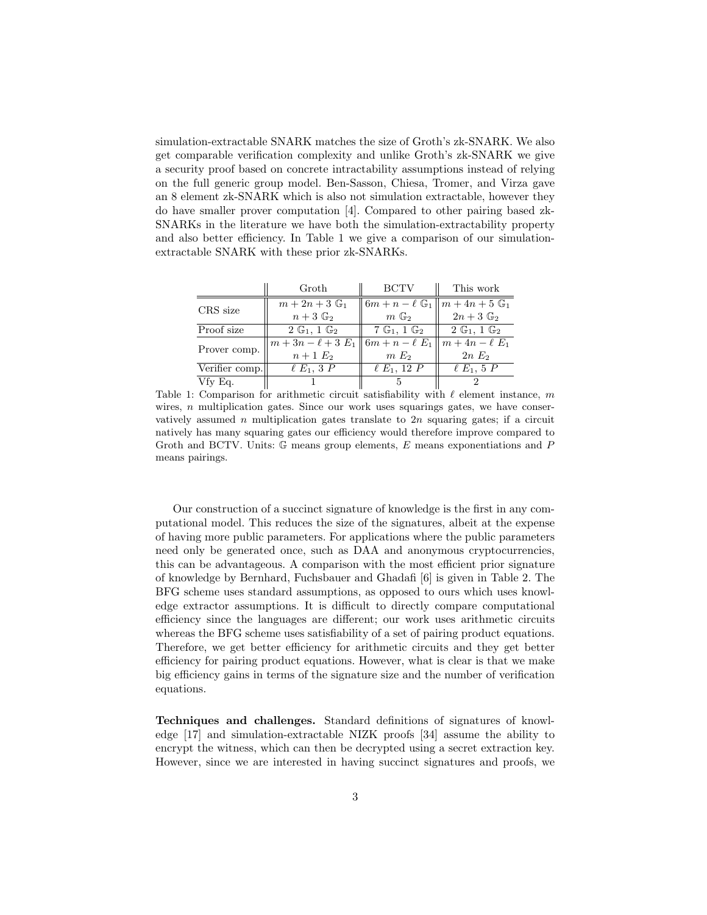simulation-extractable SNARK matches the size of Groth's zk-SNARK. We also get comparable verification complexity and unlike Groth's zk-SNARK we give a security proof based on concrete intractability assumptions instead of relying on the full generic group model. Ben-Sasson, Chiesa, Tromer, and Virza gave an 8 element zk-SNARK which is also not simulation extractable, however they do have smaller prover computation [4]. Compared to other pairing based zk-SNARKs in the literature we have both the simulation-extractability property and also better efficiency. In Table 1 we give a comparison of our simulationextractable SNARK with these prior zk-SNARKs.

|                | Groth                                                                           | <b>BCTV</b>                                                              | This work                      |
|----------------|---------------------------------------------------------------------------------|--------------------------------------------------------------------------|--------------------------------|
| CRS size       | $m + 2n + 3$ G <sub>1</sub>                                                     | $\parallel 6m + n - \ell \mathbb{G}_1 \parallel m + 4n + 5 \mathbb{G}_1$ |                                |
|                | $n+3$ $\mathbb{G}_2$                                                            | $m\mathbb{G}_2$                                                          | $2n+3$ $\mathbb{G}_2$          |
| Proof size     | $2\mathbb{G}_1, 1\mathbb{G}_2$                                                  | $7\,\mathbb{G}_1, 1\,\mathbb{G}_2$                                       | $2\mathbb{G}_1, 1\mathbb{G}_2$ |
| Prover comp.   | $m + 3n - \ell + 3 E_1 \parallel 6m + n - \ell E_1 \parallel m + 4n - \ell E_1$ |                                                                          |                                |
|                | $n+1 E_2$                                                                       | m E <sub>2</sub>                                                         | $2n E_2$                       |
| Verifier comp. | $\ell E_1$ , 3 P                                                                | $\ell E_1$ , 12 P                                                        | $\ell E_1$ , 5 P               |
| Vfy Eq.        |                                                                                 |                                                                          |                                |

Table 1: Comparison for arithmetic circuit satisfiability with  $\ell$  element instance, m wires, n multiplication gates. Since our work uses squarings gates, we have conservatively assumed n multiplication gates translate to  $2n$  squaring gates; if a circuit natively has many squaring gates our efficiency would therefore improve compared to Groth and BCTV. Units:  $\mathbb G$  means group elements,  $E$  means exponentiations and  $P$ means pairings.

Our construction of a succinct signature of knowledge is the first in any computational model. This reduces the size of the signatures, albeit at the expense of having more public parameters. For applications where the public parameters need only be generated once, such as DAA and anonymous cryptocurrencies, this can be advantageous. A comparison with the most efficient prior signature of knowledge by Bernhard, Fuchsbauer and Ghadafi [6] is given in Table 2. The BFG scheme uses standard assumptions, as opposed to ours which uses knowledge extractor assumptions. It is difficult to directly compare computational efficiency since the languages are different; our work uses arithmetic circuits whereas the BFG scheme uses satisfiability of a set of pairing product equations. Therefore, we get better efficiency for arithmetic circuits and they get better efficiency for pairing product equations. However, what is clear is that we make big efficiency gains in terms of the signature size and the number of verification equations.

Techniques and challenges. Standard definitions of signatures of knowledge [17] and simulation-extractable NIZK proofs [34] assume the ability to encrypt the witness, which can then be decrypted using a secret extraction key. However, since we are interested in having succinct signatures and proofs, we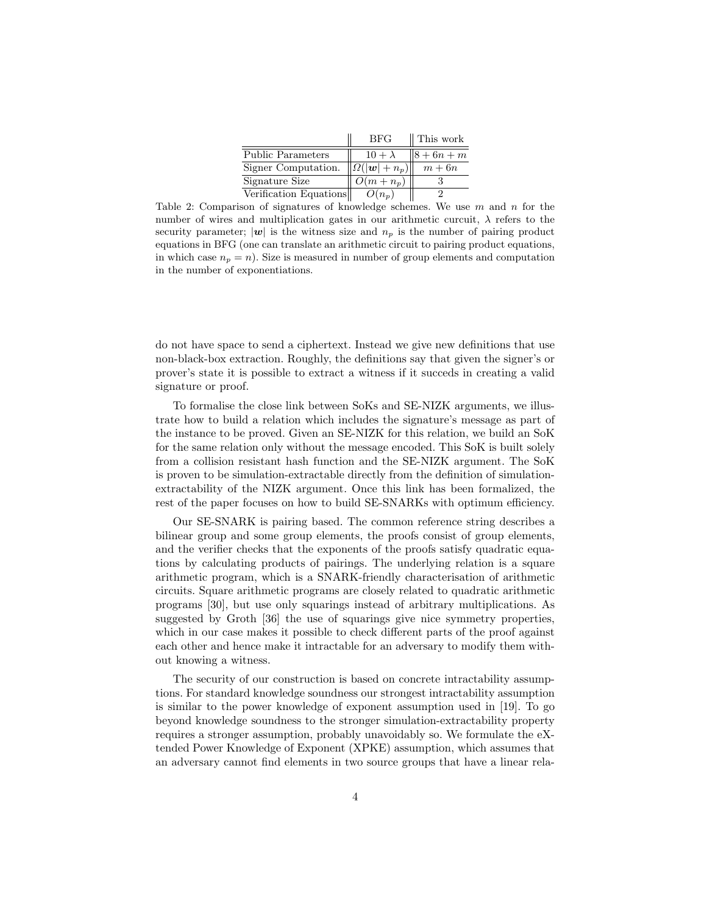|                          | BFG                                | This work      |
|--------------------------|------------------------------------|----------------|
| <b>Public Parameters</b> | $10 + \lambda$                     | $  8 + 6n + m$ |
| Signer Computation.      | $\ \Omega( \boldsymbol{w} +n_p)\ $ | $m+6n$         |
| Signature Size           | $O(m+n_p)$                         |                |
| Verification Equations   | $O(n_p)$                           |                |

Table 2: Comparison of signatures of knowledge schemes. We use  $m$  and  $n$  for the number of wires and multiplication gates in our arithmetic curcuit,  $\lambda$  refers to the security parameter;  $|\mathbf{w}|$  is the witness size and  $n_p$  is the number of pairing product equations in BFG (one can translate an arithmetic circuit to pairing product equations, in which case  $n_p = n$ ). Size is measured in number of group elements and computation in the number of exponentiations.

do not have space to send a ciphertext. Instead we give new definitions that use non-black-box extraction. Roughly, the definitions say that given the signer's or prover's state it is possible to extract a witness if it succeds in creating a valid signature or proof.

To formalise the close link between SoKs and SE-NIZK arguments, we illustrate how to build a relation which includes the signature's message as part of the instance to be proved. Given an SE-NIZK for this relation, we build an SoK for the same relation only without the message encoded. This SoK is built solely from a collision resistant hash function and the SE-NIZK argument. The SoK is proven to be simulation-extractable directly from the definition of simulationextractability of the NIZK argument. Once this link has been formalized, the rest of the paper focuses on how to build SE-SNARKs with optimum efficiency.

Our SE-SNARK is pairing based. The common reference string describes a bilinear group and some group elements, the proofs consist of group elements, and the verifier checks that the exponents of the proofs satisfy quadratic equations by calculating products of pairings. The underlying relation is a square arithmetic program, which is a SNARK-friendly characterisation of arithmetic circuits. Square arithmetic programs are closely related to quadratic arithmetic programs [30], but use only squarings instead of arbitrary multiplications. As suggested by Groth [36] the use of squarings give nice symmetry properties, which in our case makes it possible to check different parts of the proof against each other and hence make it intractable for an adversary to modify them without knowing a witness.

The security of our construction is based on concrete intractability assumptions. For standard knowledge soundness our strongest intractability assumption is similar to the power knowledge of exponent assumption used in [19]. To go beyond knowledge soundness to the stronger simulation-extractability property requires a stronger assumption, probably unavoidably so. We formulate the eXtended Power Knowledge of Exponent (XPKE) assumption, which assumes that an adversary cannot find elements in two source groups that have a linear rela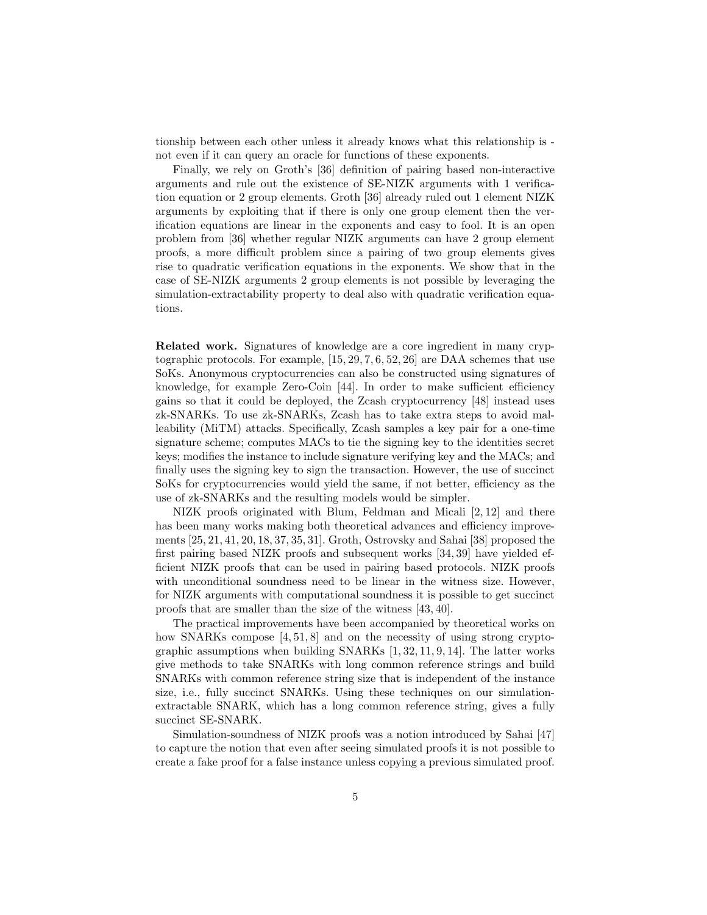tionship between each other unless it already knows what this relationship is not even if it can query an oracle for functions of these exponents.

Finally, we rely on Groth's [36] definition of pairing based non-interactive arguments and rule out the existence of SE-NIZK arguments with 1 verification equation or 2 group elements. Groth [36] already ruled out 1 element NIZK arguments by exploiting that if there is only one group element then the verification equations are linear in the exponents and easy to fool. It is an open problem from [36] whether regular NIZK arguments can have 2 group element proofs, a more difficult problem since a pairing of two group elements gives rise to quadratic verification equations in the exponents. We show that in the case of SE-NIZK arguments 2 group elements is not possible by leveraging the simulation-extractability property to deal also with quadratic verification equations.

Related work. Signatures of knowledge are a core ingredient in many cryptographic protocols. For example, [15, 29, 7, 6, 52, 26] are DAA schemes that use SoKs. Anonymous cryptocurrencies can also be constructed using signatures of knowledge, for example Zero-Coin [44]. In order to make sufficient efficiency gains so that it could be deployed, the Zcash cryptocurrency [48] instead uses zk-SNARKs. To use zk-SNARKs, Zcash has to take extra steps to avoid malleability (MiTM) attacks. Specifically, Zcash samples a key pair for a one-time signature scheme; computes MACs to tie the signing key to the identities secret keys; modifies the instance to include signature verifying key and the MACs; and finally uses the signing key to sign the transaction. However, the use of succinct SoKs for cryptocurrencies would yield the same, if not better, efficiency as the use of zk-SNARKs and the resulting models would be simpler.

NIZK proofs originated with Blum, Feldman and Micali [2, 12] and there has been many works making both theoretical advances and efficiency improvements [25, 21, 41, 20, 18, 37, 35, 31]. Groth, Ostrovsky and Sahai [38] proposed the first pairing based NIZK proofs and subsequent works [34, 39] have yielded efficient NIZK proofs that can be used in pairing based protocols. NIZK proofs with unconditional soundness need to be linear in the witness size. However, for NIZK arguments with computational soundness it is possible to get succinct proofs that are smaller than the size of the witness [43, 40].

The practical improvements have been accompanied by theoretical works on how SNARKs compose [4, 51, 8] and on the necessity of using strong cryptographic assumptions when building SNARKs [1, 32, 11, 9, 14]. The latter works give methods to take SNARKs with long common reference strings and build SNARKs with common reference string size that is independent of the instance size, i.e., fully succinct SNARKs. Using these techniques on our simulationextractable SNARK, which has a long common reference string, gives a fully succinct SE-SNARK.

Simulation-soundness of NIZK proofs was a notion introduced by Sahai [47] to capture the notion that even after seeing simulated proofs it is not possible to create a fake proof for a false instance unless copying a previous simulated proof.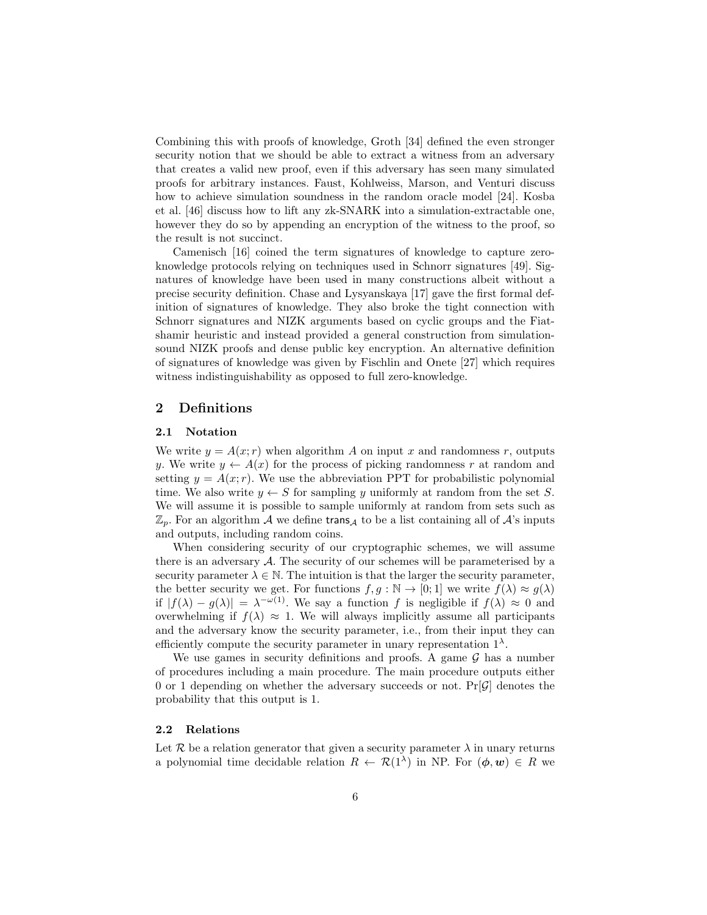Combining this with proofs of knowledge, Groth [34] defined the even stronger security notion that we should be able to extract a witness from an adversary that creates a valid new proof, even if this adversary has seen many simulated proofs for arbitrary instances. Faust, Kohlweiss, Marson, and Venturi discuss how to achieve simulation soundness in the random oracle model [24]. Kosba et al. [46] discuss how to lift any zk-SNARK into a simulation-extractable one, however they do so by appending an encryption of the witness to the proof, so the result is not succinct.

Camenisch [16] coined the term signatures of knowledge to capture zeroknowledge protocols relying on techniques used in Schnorr signatures [49]. Signatures of knowledge have been used in many constructions albeit without a precise security definition. Chase and Lysyanskaya [17] gave the first formal definition of signatures of knowledge. They also broke the tight connection with Schnorr signatures and NIZK arguments based on cyclic groups and the Fiatshamir heuristic and instead provided a general construction from simulationsound NIZK proofs and dense public key encryption. An alternative definition of signatures of knowledge was given by Fischlin and Onete [27] which requires witness indistinguishability as opposed to full zero-knowledge.

# 2 Definitions

#### 2.1 Notation

We write  $y = A(x; r)$  when algorithm A on input x and randomness r, outputs y. We write  $y \leftarrow A(x)$  for the process of picking randomness r at random and setting  $y = A(x; r)$ . We use the abbreviation PPT for probabilistic polynomial time. We also write  $y \leftarrow S$  for sampling y uniformly at random from the set S. We will assume it is possible to sample uniformly at random from sets such as  $\mathbb{Z}_p$ . For an algorithm A we define trans<sub>A</sub> to be a list containing all of A's inputs and outputs, including random coins.

When considering security of our cryptographic schemes, we will assume there is an adversary A. The security of our schemes will be parameterised by a security parameter  $\lambda \in \mathbb{N}$ . The intuition is that the larger the security parameter, the better security we get. For functions  $f, g : \mathbb{N} \to [0, 1]$  we write  $f(\lambda) \approx g(\lambda)$ if  $|f(\lambda) - g(\lambda)| = \lambda^{-\omega(1)}$ . We say a function f is negligible if  $f(\lambda) \approx 0$  and overwhelming if  $f(\lambda) \approx 1$ . We will always implicitly assume all participants and the adversary know the security parameter, i.e., from their input they can efficiently compute the security parameter in unary representation  $1^{\lambda}$ .

We use games in security definitions and proofs. A game  $\mathcal G$  has a number of procedures including a main procedure. The main procedure outputs either 0 or 1 depending on whether the adversary succeeds or not.  $Pr[\mathcal{G}]$  denotes the probability that this output is 1.

### 2.2 Relations

Let  $\mathcal R$  be a relation generator that given a security parameter  $\lambda$  in unary returns a polynomial time decidable relation  $R \leftarrow \mathcal{R}(1^{\lambda})$  in NP. For  $(\phi, w) \in R$  we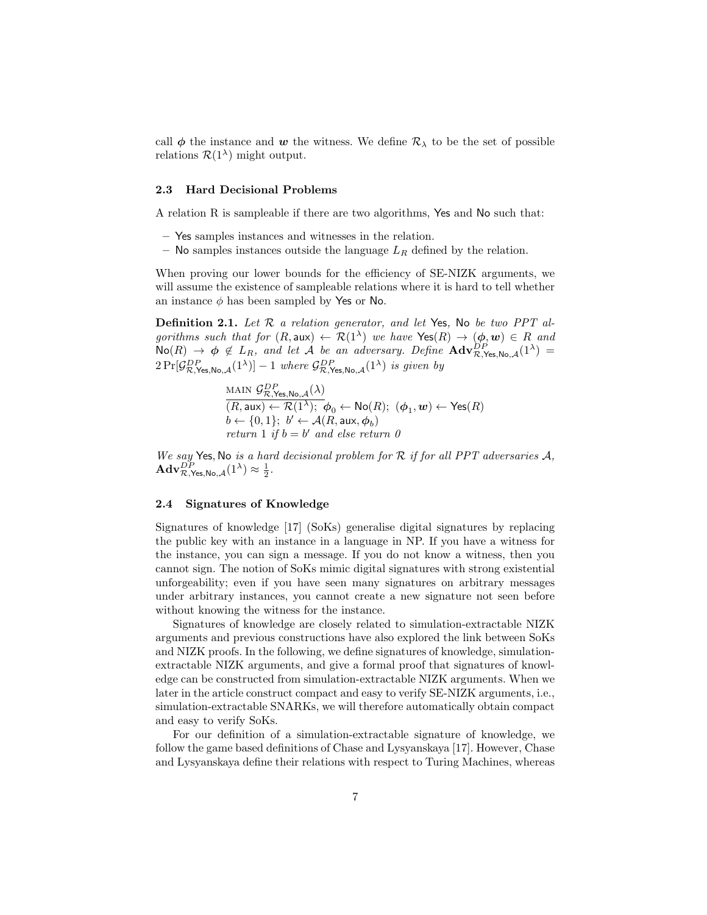call  $\phi$  the instance and w the witness. We define  $\mathcal{R}_{\lambda}$  to be the set of possible relations  $\mathcal{R}(1^{\lambda})$  might output.

### 2.3 Hard Decisional Problems

A relation R is sampleable if there are two algorithms, Yes and No such that:

- Yes samples instances and witnesses in the relation.
- No samples instances outside the language  $L_R$  defined by the relation.

When proving our lower bounds for the efficiency of SE-NIZK arguments, we will assume the existence of sampleable relations where it is hard to tell whether an instance  $\phi$  has been sampled by Yes or No.

**Definition 2.1.** Let  $\mathcal{R}$  a relation generator, and let Yes, No be two PPT algorithms such that for  $(R, \text{aux}) \leftarrow \mathcal{R}(1^{\lambda})$  we have  $\text{Yes}(R) \rightarrow (\phi, \mathbf{w}) \in R$  and  $N\sigma(R) \rightarrow \phi \notin L_R$ , and let A be an adversary. Define  $\text{Adv}_{\mathcal{R},\text{Yes},\text{No},\mathcal{A}}^{\text{DP}}(1^{\lambda}) =$  $2\Pr[\mathcal{G}_{\mathcal{R},\mathsf{Yes},\mathsf{No},\mathcal{A}}^{\mathsf{DP}}(1^{\lambda})]-1$  where  $\mathcal{G}_{\mathcal{R},\mathsf{Yes},\mathsf{No},\mathcal{A}}^{\mathsf{DP}}(1^{\lambda})$  is given by

> MAIN  $\mathcal{G}^{DP}_{\mathcal{R},\mathsf{Yes},\mathsf{No},\mathcal{A}}(\lambda)$  $\overline{(R,\mathsf{aux})\leftarrow\mathcal{R}(1^\lambda);\ }\bm{\phi}_0\leftarrow \mathsf{No}(R);\ (\bm{\phi}_1,\bm{w})\leftarrow \mathsf{Yes}(R)$  $b \leftarrow \{0,1\}; \, \, b' \leftarrow \mathcal{A}(\bar{R}, \mathsf{aux}, \bm{\phi}_b)$ return 1 if  $b = b'$  and else return 0

We say Yes, No is a hard decisional problem for  $R$  if for all PPT adversaries  $A$ ,  $\mathbf{Adv}_{\mathcal{R},\mathsf{Yes},\mathsf{No},\mathcal{A}}^{DP}(1^\lambda) \approx \frac{1}{2}.$ 

#### 2.4 Signatures of Knowledge

Signatures of knowledge [17] (SoKs) generalise digital signatures by replacing the public key with an instance in a language in NP. If you have a witness for the instance, you can sign a message. If you do not know a witness, then you cannot sign. The notion of SoKs mimic digital signatures with strong existential unforgeability; even if you have seen many signatures on arbitrary messages under arbitrary instances, you cannot create a new signature not seen before without knowing the witness for the instance.

Signatures of knowledge are closely related to simulation-extractable NIZK arguments and previous constructions have also explored the link between SoKs and NIZK proofs. In the following, we define signatures of knowledge, simulationextractable NIZK arguments, and give a formal proof that signatures of knowledge can be constructed from simulation-extractable NIZK arguments. When we later in the article construct compact and easy to verify SE-NIZK arguments, i.e., simulation-extractable SNARKs, we will therefore automatically obtain compact and easy to verify SoKs.

For our definition of a simulation-extractable signature of knowledge, we follow the game based definitions of Chase and Lysyanskaya [17]. However, Chase and Lysyanskaya define their relations with respect to Turing Machines, whereas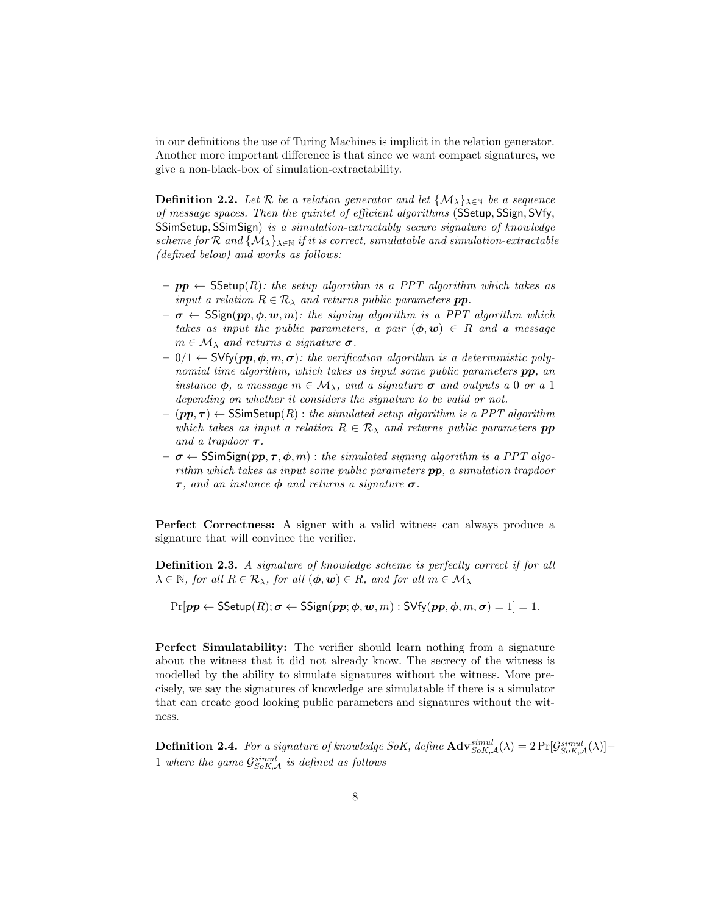in our definitions the use of Turing Machines is implicit in the relation generator. Another more important difference is that since we want compact signatures, we give a non-black-box of simulation-extractability.

**Definition 2.2.** Let R be a relation generator and let  $\{M_{\lambda}\}_{{\lambda}\in\mathbb{N}}$  be a sequence of message spaces. Then the quintet of efficient algorithms (SSetup, SSign, SVfy, SSimSetup, SSimSign) is a simulation-extractably secure signature of knowledge scheme for R and  $\{M_{\lambda}\}_{\lambda \in \mathbb{N}}$  if it is correct, simulatable and simulation-extractable (defined below) and works as follows:

- $-$  **pp**  $\leftarrow$  SSetup(R): the setup algorithm is a PPT algorithm which takes as input a relation  $R \in \mathcal{R}_{\lambda}$  and returns public parameters **pp**.
- $-\sigma \leftarrow \text{SSign}(pp, \phi, w, m)$ : the signing algorithm is a PPT algorithm which takes as input the public parameters, a pair  $(\phi, \mathbf{w}) \in R$  and a message  $m \in \mathcal{M}_{\lambda}$  and returns a signature  $\sigma$ .
- $-0/1 \leftarrow \text{SVfv}(pp, \phi, m, \sigma)$ : the verification algorithm is a deterministic polynomial time algorithm, which takes as input some public parameters  $pp$ , and instance  $\phi$ , a message  $m \in \mathcal{M}_{\lambda}$ , and a signature  $\sigma$  and outputs a 0 or a 1 depending on whether it considers the signature to be valid or not.
- $(p\mathbf{p}, \boldsymbol{\tau}) \leftarrow \text{SSimSetup}(R)$ : the simulated setup algorithm is a PPT algorithm which takes as input a relation  $R \in \mathcal{R}_{\lambda}$  and returns public parameters pp and a trapdoor  $\tau$ .
- $\sigma$   $\leftarrow$  SSimSign( $pp, \tau, \phi, m$ ): the simulated signing algorithm is a PPT algorithm which takes as input some public parameters  $pp$ , a simulation trapdoor  $\tau$ , and an instance  $\phi$  and returns a signature  $\sigma$ .

Perfect Correctness: A signer with a valid witness can always produce a signature that will convince the verifier.

**Definition 2.3.** A signature of knowledge scheme is perfectly correct if for all  $\lambda \in \mathbb{N}$ , for all  $R \in \mathcal{R}_{\lambda}$ , for all  $(\phi, \mathbf{w}) \in R$ , and for all  $m \in \mathcal{M}_{\lambda}$ 

$$
\Pr[\boldsymbol{pp}\leftarrow\textsf{SSetup}(R); \boldsymbol{\sigma}\leftarrow\textsf{SSign}(\boldsymbol{pp}; \boldsymbol{\phi}, \boldsymbol{w}, m): \textsf{SVfy}(\boldsymbol{pp}, \boldsymbol{\phi}, m, \boldsymbol{\sigma}) = 1] = 1.
$$

Perfect Simulatability: The verifier should learn nothing from a signature about the witness that it did not already know. The secrecy of the witness is modelled by the ability to simulate signatures without the witness. More precisely, we say the signatures of knowledge are simulatable if there is a simulator that can create good looking public parameters and signatures without the witness.

**Definition 2.4.** For a signature of knowledge SoK, define  $\mathbf{Adv}_{\mathcal{S}oK,\mathcal{A}}^{simul}(\lambda) = 2 \Pr[\mathcal{G}_{\mathcal{S}oK,\mathcal{A}}^{simul}(\lambda)]$ 1 where the game  $\mathcal{G}_{\mathit{SoK},\mathcal{A}}^{simul}$  is defined as follows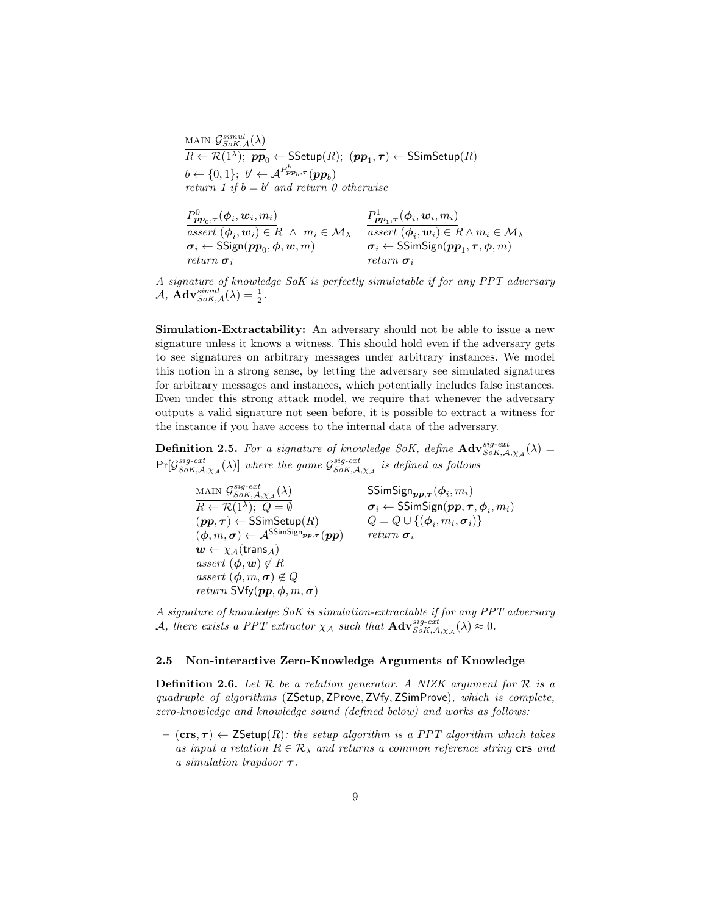MAIN  $\mathcal{G}_{SoK,\mathcal{A}}^{simul}(\lambda)$  $R \leftarrow \mathcal{R}(1^{\lambda}); \ \ \boldsymbol{p}\boldsymbol{p}_0 \leftarrow \textsf{SSetup}(R); \ \ (\boldsymbol{p}\boldsymbol{p}_1, \boldsymbol{\tau}) \leftarrow \textsf{SSimSetup}(R)$  $b \leftarrow \{0,1\}; \; b' \leftarrow \mathcal{A}^{P^b_{\bm{p}_{\bm{p}_b},\bm{\tau}}}(\bm{p}\bm{p}_b)$ return 1 if  $b = b'$  and return 0 otherwise

| $P^0_{\boldsymbol{p}\boldsymbol{p}_0,\boldsymbol{\tau}}(\boldsymbol{\phi}_i,\boldsymbol{w}_i,m_i)^\top$ | $P^1_{\boldsymbol{p} \boldsymbol{p}_1, \boldsymbol{\tau}}(\boldsymbol{\phi}_i, \boldsymbol{w}_i, m_i)$ |
|---------------------------------------------------------------------------------------------------------|--------------------------------------------------------------------------------------------------------|
| assert $(\boldsymbol{\phi}_i, \boldsymbol{w}_i) \in R \ \land \ m_i \in \mathcal{M}_{\lambda}$          | assert $(\boldsymbol{\phi}_i, \boldsymbol{w}_i) \in R \wedge m_i \in \mathcal{M}_{\lambda}$            |
| $\bm{\sigma}_i \leftarrow \mathsf{SSign}(\bm{pp}_0, \bm{\phi}, \bm{w}, m)$                              | $\sigma_i \leftarrow \textsf{SSimSign}(pp_1, \tau, \phi, m)$                                           |
| return $\sigma_i$                                                                                       | return $\sigma_i$                                                                                      |

A signature of knowledge SoK is perfectly simulatable if for any PPT adversary  ${\cal A},\ \mathbf{Adv}_{SoK,\mathcal{A}}^{simul}(\lambda)=\frac{1}{2}.$ 

Simulation-Extractability: An adversary should not be able to issue a new signature unless it knows a witness. This should hold even if the adversary gets to see signatures on arbitrary messages under arbitrary instances. We model this notion in a strong sense, by letting the adversary see simulated signatures for arbitrary messages and instances, which potentially includes false instances. Even under this strong attack model, we require that whenever the adversary outputs a valid signature not seen before, it is possible to extract a witness for the instance if you have access to the internal data of the adversary.

**Definition 2.5.** For a signature of knowledge SoK, define  $\text{Adv}_{\text{SOK},\mathcal{A},\chi_{\mathcal{A}}}^{sig-ext}(\lambda)$  =  $\Pr[\mathcal{G}_{SoK,\mathcal{A},\chi_{\mathcal{A}}}^{sig-ext}(\lambda)]$  where the game  $\mathcal{G}_{SoK,\mathcal{A},\chi_{\mathcal{A}}}^{sig-ext}$  is defined as follows

main  $\mathcal{G}_{SoK,\mathcal{A},\chi_\mathcal{A}}^{sig\textrm{-}ext}(\lambda)$  $R \leftarrow \mathcal{R}(1^{\lambda}); Q = \emptyset$  $(p\bm{p}, \bm{\tau}) \leftarrow \mathsf{SSimSetup}(R)$  $(\boldsymbol{\phi}, m, \boldsymbol{\sigma}) \leftarrow \mathcal{A}^{\text{SSimSign}_{pp, \boldsymbol{\tau}}}(\boldsymbol{pp})$  $\boldsymbol{w} \leftarrow \chi_{\mathcal{A}}(\mathsf{trans}_{\mathcal{A}})$ assert  $(\boldsymbol{\phi}, \boldsymbol{w}) \notin R$ assert  $(\boldsymbol{\phi}, m, \boldsymbol{\sigma}) \notin Q$ *return*  $SVfy(pp, \phi, m, \sigma)$  $\mathsf{SSimSign}_{\bm{pp},\bm{\tau}}(\bm{\phi}_i, m_i)$  $\bm{\sigma}_i \leftarrow \mathsf{SSimSign}(\bm{pp}, \bm{\tau}, \bm{\phi}_i, m_i)$  $Q = Q \cup \{(\boldsymbol{\phi}_i, m_i, \boldsymbol{\sigma}_i)\}$ return  $\sigma_i$ 

A signature of knowledge SoK is simulation-extractable if for any PPT adversary A, there exists a PPT extractor  $\chi_{\mathcal{A}}$  such that  $\mathbf{Adv}_{\mathcal{S}oK,\mathcal{A},\chi_{\mathcal{A}}}^{sig\text{-}ext}(\lambda) \approx 0$ .

#### 2.5 Non-interactive Zero-Knowledge Arguments of Knowledge

**Definition 2.6.** Let  $\mathcal{R}$  be a relation generator. A NIZK argument for  $\mathcal{R}$  is a quadruple of algorithms (ZSetup, ZProve, ZVfy, ZSimProve), which is complete, zero-knowledge and knowledge sound (defined below) and works as follows:

 $-$  (crs,  $\tau$ )  $\leftarrow$  ZSetup(R): the setup algorithm is a PPT algorithm which takes as input a relation  $R \in \mathcal{R}_{\lambda}$  and returns a common reference string crs and a simulation trapdoor  $\tau$ .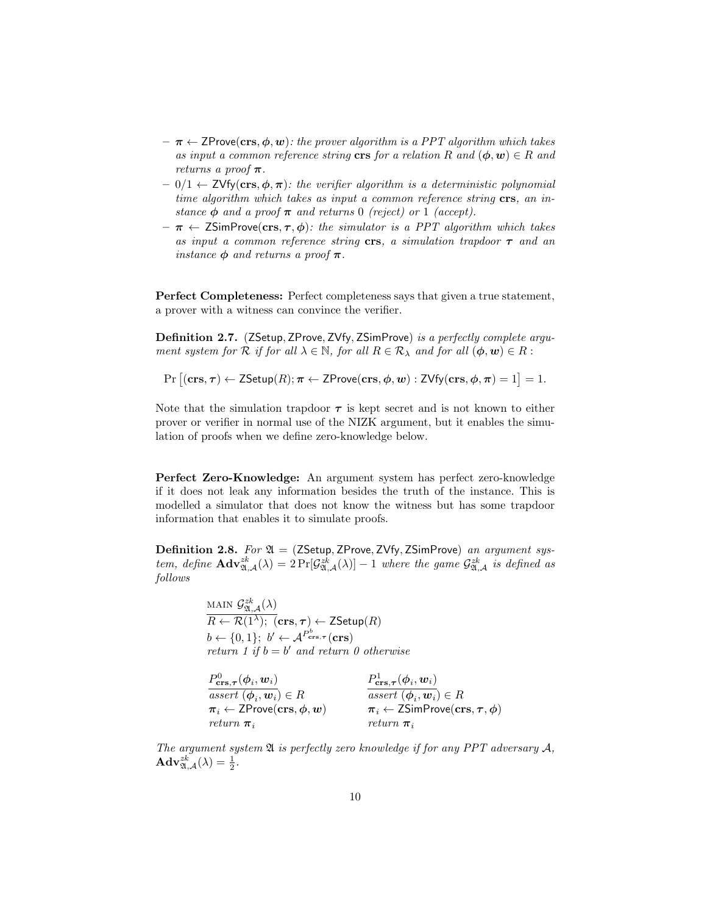- $-\pi \leftarrow$  ZProve(crs,  $\phi, w$ ): the prover algorithm is a PPT algorithm which takes as input a common reference string crs for a relation R and  $(\phi, \mathbf{w}) \in R$  and returns a proof  $\pi$ .
- $-0/1 \leftarrow$  ZVfy(crs,  $\phi, \pi$ ): the verifier algorithm is a deterministic polynomial time algorithm which takes as input a common reference string crs, an instance  $\phi$  and a proof  $\pi$  and returns 0 (reject) or 1 (accept).
- $-\pi \leftarrow \text{ZSimProve}(\text{crs}, \tau, \phi)$ : the simulator is a PPT algorithm which takes as input a common reference string crs, a simulation trapdoor  $\tau$  and an instance  $\phi$  and returns a proof  $\pi$ .

Perfect Completeness: Perfect completeness says that given a true statement, a prover with a witness can convince the verifier.

Definition 2.7. (ZSetup, ZProve, ZVfy, ZSimProve) is a perfectly complete argument system for  $\mathcal R$  if for all  $\lambda \in \mathbb N$ , for all  $R \in \mathcal R_\lambda$  and for all  $(\phi, w) \in R$ :

 $\Pr\left[({\rm\bf crs},\boldsymbol{\tau})\leftarrow{\sf ZSetup}(R);\boldsymbol{\pi}\leftarrow{\sf ZProve}({\rm\bf crs},\boldsymbol{\phi},\boldsymbol{w}):{\sf ZVfy}({\rm\bf crs},\boldsymbol{\phi},\boldsymbol{\pi})=1\right]=1.$ 

Note that the simulation trapdoor  $\tau$  is kept secret and is not known to either prover or verifier in normal use of the NIZK argument, but it enables the simulation of proofs when we define zero-knowledge below.

Perfect Zero-Knowledge: An argument system has perfect zero-knowledge if it does not leak any information besides the truth of the instance. This is modelled a simulator that does not know the witness but has some trapdoor information that enables it to simulate proofs.

**Definition 2.8.** For  $\mathfrak{A} = (Z$ Setup, ZProve, ZVfy, ZSimProve) an argument system, define  $\mathbf{Adv}_{\mathfrak{A},\mathcal{A}}^{zk}(\lambda) = 2 \Pr[\mathcal{G}_{\mathfrak{A},\mathcal{A}}^{zk}(\lambda)] - 1$  where the game  $\mathcal{G}_{\mathfrak{A},\mathcal{A}}^{zk}$  is defined as follows

> MAIN  $\mathcal{G}_{\mathfrak{A},\mathcal{A}}^{zk}(\lambda)$  $\overline{R\leftarrow\mathcal{R}(1^{\lambda});\,\,({\rm\bf crs},\boldsymbol{\tau})\leftarrow{\rm ZSetup}(R)}$  $b \leftarrow \{0, 1\}; \; b' \leftarrow {\cal A}^{P_{\texttt{crs}, \bm{\tau}}^b}(\mathbf{crs})$ return 1 if  $b = b'$  and return 0 otherwise

| $P^0_{\mathbf{crs},\boldsymbol{\tau}}(\boldsymbol{\phi}_i,\boldsymbol{w}_i)$ | $P_{\text{crs},\tau}^1(\boldsymbol{\phi}_i,\boldsymbol{w}_i)$ |
|------------------------------------------------------------------------------|---------------------------------------------------------------|
| assert $(\boldsymbol{\phi}_i, \boldsymbol{w}_i) \in R$                       | assert $(\boldsymbol{\phi}_i, \boldsymbol{w}_i) \in R$        |
| $\pi_i \leftarrow$ ZProve $(\text{crs}, \phi, w)$                            | $\pi_i \leftarrow \text{ZSimProve}(\text{crs}, \tau, \phi)$   |
| return $\pi_i$                                                               | return $\pi_i$                                                |

The argument system  $\mathfrak A$  is perfectly zero knowledge if for any PPT adversary  $\mathcal A$ ,  $\mathbf{Adv}_{\mathfrak{A},\mathcal{A}}^{zk}(\lambda)=\frac{1}{2}.$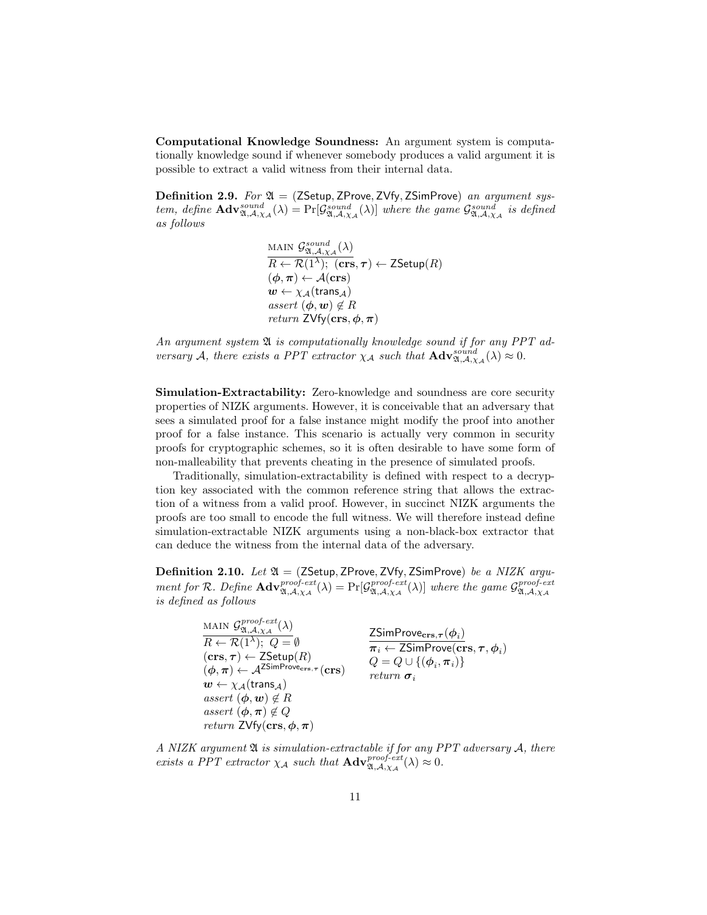Computational Knowledge Soundness: An argument system is computationally knowledge sound if whenever somebody produces a valid argument it is possible to extract a valid witness from their internal data.

**Definition 2.9.** For  $\mathfrak{A} = (Z$ Setup, ZProve, ZVfy, ZSimProve) an argument system, define  $\mathbf{Adv}_{\mathfrak{A},\mathcal{A},\chi_{\mathcal{A}}}^{sound}(\lambda) = \Pr[\mathcal{G}_{\mathfrak{A},\mathcal{A},\chi_{\mathcal{A}}}^{sound}(\lambda)]$  where the game  $\mathcal{G}_{\mathfrak{A},\mathcal{A},\chi_{\mathcal{A}}}^{sound}$  is defined as follows

> MAIN  $\mathcal{G}^{sound}_{\mathfrak{A},\mathcal{A},\chi_\mathcal{A}}(\lambda)$  $\overline{R\leftarrow\mathcal{R}(1^{\lambda});\;(\overline{\textbf{crs}},\boldsymbol{\tau})\leftarrow \textsf{ZSetup}(R)$  $(\phi, \pi) \leftarrow \mathcal{A}(\text{crs})$  $\boldsymbol{w} \leftarrow \chi_{\mathcal{A}}(\mathsf{trans}_{\mathcal{A}})$ assert  $(\boldsymbol{\phi}, \boldsymbol{w}) \notin R$ *return* ZVfy( $\text{crs}, \phi, \pi$ )

An argument system  $\mathfrak A$  is computationally knowledge sound if for any PPT adversary A, there exists a PPT extractor  $\chi_{\mathcal{A}}$  such that  $\mathbf{Adv}_{\mathfrak{A},\mathcal{A},\chi_{\mathcal{A}}}^{\text{sound}}(\lambda) \approx 0$ .

Simulation-Extractability: Zero-knowledge and soundness are core security properties of NIZK arguments. However, it is conceivable that an adversary that sees a simulated proof for a false instance might modify the proof into another proof for a false instance. This scenario is actually very common in security proofs for cryptographic schemes, so it is often desirable to have some form of non-malleability that prevents cheating in the presence of simulated proofs.

Traditionally, simulation-extractability is defined with respect to a decryption key associated with the common reference string that allows the extraction of a witness from a valid proof. However, in succinct NIZK arguments the proofs are too small to encode the full witness. We will therefore instead define simulation-extractable NIZK arguments using a non-black-box extractor that can deduce the witness from the internal data of the adversary.

Definition 2.10. Let  $\mathfrak{A} = (Z$ Setup, ZProve, ZVfy, ZSimProve) be a NIZK argument for R. Define  $\mathbf{Adv}_{\mathfrak{A},\mathcal{A},\chi_{\mathcal{A}}}^{proof-cut}(\lambda) = \Pr[\mathcal{G}_{\mathfrak{A},\mathcal{A},\chi_{\mathcal{A}}}^{proof-cut}(\lambda)]$  where the game  $\mathcal{G}_{\mathfrak{A},\mathcal{A},\chi_{\mathcal{A}}}^{proof ext}$ is defined as follows

> MAIN  $\mathcal{G}^{proof-ext}_{\mathfrak{A},\mathcal{A},\chi_\mathcal{A}}(\lambda)$  $R \leftarrow \mathcal{R}(1^{\lambda}); \ Q = \emptyset$  $(\mathbf{crs}, \boldsymbol{\tau}) \leftarrow \mathsf{ZSetup}(R)$  $(\boldsymbol \phi, \boldsymbol \pi) \leftarrow \mathcal{A}^{\textsf{ZSimProve}_{\textbf{crs}}, \boldsymbol \tau}(\textbf{crs})$  $\boldsymbol{w} \leftarrow \chi_{\mathcal{A}}(\mathsf{trans}_{\mathcal{A}})$ assert  $(\boldsymbol{\phi}, \boldsymbol{w}) \notin R$ assert  $(\boldsymbol{\phi}, \boldsymbol{\pi}) \notin Q$ *return* ZVfy( $\text{crs}, \phi, \pi$ )  $\mathsf{ZSimProve}_{\mathbf{crs},\boldsymbol{\tau}}(\boldsymbol{\phi}_i)$  $\boldsymbol{\pi}_i \leftarrow \mathsf{ZSimProve}(\mathbf{crs}, \boldsymbol{\tau}, \boldsymbol{\phi}_i)$  $Q = Q \cup \{(\boldsymbol{\phi}_i, \boldsymbol{\pi}_i)\}$ return  $\sigma_i$

A NIZK argument  $\mathfrak A$  is simulation-extractable if for any PPT adversary  $\mathcal A$ , there exists a PPT extractor  $\chi_{\mathcal{A}}$  such that  $\mathbf{Adv}_{\mathfrak{A},\mathcal{A},\chi_{\mathcal{A}}}^{proof-ext}(\lambda) \approx 0$ .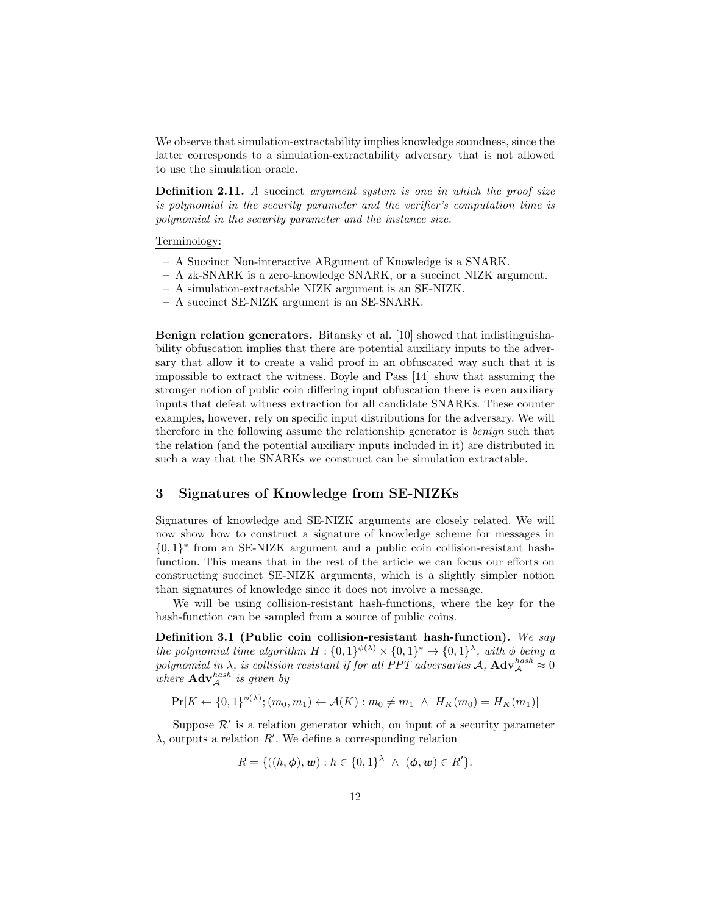We observe that simulation-extractability implies knowledge soundness, since the latter corresponds to a simulation-extractability adversary that is not allowed to use the simulation oracle.

**Definition 2.11.** A succinct argument system is one in which the proof size is polynomial in the security parameter and the verifier's computation time is polynomial in the security parameter and the instance size.

Terminology:

- A Succinct Non-interactive ARgument of Knowledge is a SNARK.
- A zk-SNARK is a zero-knowledge SNARK, or a succinct NIZK argument.
- A simulation-extractable NIZK argument is an SE-NIZK.
- A succinct SE-NIZK argument is an SE-SNARK.

Benign relation generators. Bitansky et al. [10] showed that indistinguishability obfuscation implies that there are potential auxiliary inputs to the adversary that allow it to create a valid proof in an obfuscated way such that it is impossible to extract the witness. Boyle and Pass [14] show that assuming the stronger notion of public coin differing input obfuscation there is even auxiliary inputs that defeat witness extraction for all candidate SNARKs. These counter examples, however, rely on specific input distributions for the adversary. We will therefore in the following assume the relationship generator is benign such that the relation (and the potential auxiliary inputs included in it) are distributed in such a way that the SNARKs we construct can be simulation extractable.

# 3 Signatures of Knowledge from SE-NIZKs

Signatures of knowledge and SE-NIZK arguments are closely related. We will now show how to construct a signature of knowledge scheme for messages in {0, 1} ∗ from an SE-NIZK argument and a public coin collision-resistant hashfunction. This means that in the rest of the article we can focus our efforts on constructing succinct SE-NIZK arguments, which is a slightly simpler notion than signatures of knowledge since it does not involve a message.

We will be using collision-resistant hash-functions, where the key for the hash-function can be sampled from a source of public coins.

Definition 3.1 (Public coin collision-resistant hash-function). We say the polynomial time algorithm  $H: \{0,1\}^{\phi(\lambda)} \times \{0,1\}^* \to \{0,1\}^{\lambda}$ , with  $\phi$  being a polynomial in  $\lambda$ , is collision resistant if for all PPT adversaries A,  $\mathbf{Adv}_{\mathcal{A}}^{hash} \approx 0$ where  $\mathbf{Adv}_{\mathcal{A}}^{hash}$  is given by

$$
Pr[K \leftarrow \{0, 1\}^{\phi(\lambda)}; (m_0, m_1) \leftarrow \mathcal{A}(K) : m_0 \neq m_1 \ \land \ H_K(m_0) = H_K(m_1)]
$$

Suppose  $\mathcal{R}'$  is a relation generator which, on input of a security parameter  $\lambda$ , outputs a relation  $R'$ . We define a corresponding relation

$$
R = \{((h, \phi), \mathbf{w}) : h \in \{0, 1\}^{\lambda} \wedge (\phi, \mathbf{w}) \in R'\}.
$$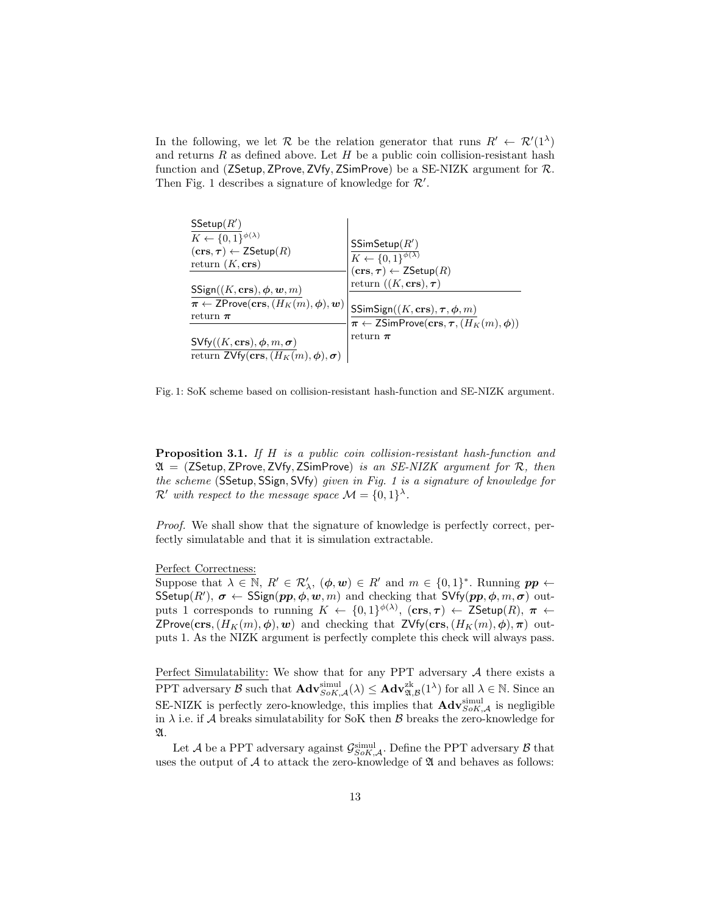In the following, we let R be the relation generator that runs  $R' \leftarrow \mathcal{R}'(1^{\lambda})$ and returns  $R$  as defined above. Let  $H$  be a public coin collision-resistant hash function and (ZSetup, ZProve, ZVfy, ZSimProve) be a SE-NIZK argument for  $\mathcal{R}$ . Then Fig. 1 describes a signature of knowledge for  $\mathcal{R}'$ .

| SSetup(R')                                                |                                                                         |
|-----------------------------------------------------------|-------------------------------------------------------------------------|
| $K \leftarrow \{0,1\}^{\phi(\lambda)}$                    | SSimSetup(R')                                                           |
| $(\mathbf{crs}, \tau) \leftarrow \mathsf{ZSetup}(R)$      | $K \leftarrow \{0,1\}^{\phi(\lambda)}$                                  |
| return $(K, \text{crs})$                                  | $(\mathbf{crs}, \tau) \leftarrow Z$ Setup $(R)$                         |
| $SSign((K, \text{crs}), \phi, w, m)$                      | return $((K, \mathbf{crs}), \tau)$                                      |
| $\pi \leftarrow$ ZProve $(\text{crs}, (H_K(m), \phi), w)$ | SSimSign( $(K, \text{crs})$ , $\tau$ , $\phi$ , $m$ )                   |
| return $\pi$                                              | $\pi \leftarrow \mathsf{ZSimProve}(\mathbf{crs}, \tau, (H_K(m), \phi))$ |
| $SVfy((K, \text{crs}), \phi, m, \sigma)$                  | return $\pi$                                                            |
| return ZVfy(crs, $(H_K(m), \phi), \sigma)$                |                                                                         |

Fig. 1: SoK scheme based on collision-resistant hash-function and SE-NIZK argument.

Proposition 3.1. If H is a public coin collision-resistant hash-function and  $\mathfrak{A} = (Z$ Setup, ZProve, ZVfy, ZSimProve) is an SE-NIZK argument for R, then the scheme (SSetup, SSign, SVfy) given in Fig. 1 is a signature of knowledge for  $\mathcal{R}'$  with respect to the message space  $\mathcal{M} = \{0,1\}^{\lambda}$ .

Proof. We shall show that the signature of knowledge is perfectly correct, perfectly simulatable and that it is simulation extractable.

#### Perfect Correctness:

Suppose that  $\lambda \in \mathbb{N}$ ,  $R' \in \mathcal{R}'_{\lambda}$ ,  $(\phi, w) \in R'$  and  $m \in \{0, 1\}^*$ . Running  $pp \leftarrow$ SSetup(R'),  $\sigma \leftarrow$  SSign( $pp, \phi, w, m$ ) and checking that SVfy( $pp, \phi, m, \sigma$ ) outputs 1 corresponds to running  $K \leftarrow \{0,1\}^{\phi(\lambda)}, \ (\mathbf{crs}, \tau) \leftarrow \mathsf{ZSetup}(R), \ \pi \leftarrow$ ZProve(crs,  $(H_K(m), \phi), w$ ) and checking that ZVfy(crs,  $(H_K(m), \phi), \pi$ ) outputs 1. As the NIZK argument is perfectly complete this check will always pass.

Perfect Simulatability: We show that for any PPT adversary  $A$  there exists a PPT adversary B such that  $\mathbf{Adv}_{SoK,\mathcal{A}}^{\text{simul}}(\lambda) \leq \mathbf{Adv}_{\mathfrak{A},\mathcal{B}}^{\text{zk}}(1^{\lambda})$  for all  $\lambda \in \mathbb{N}$ . Since an SE-NIZK is perfectly zero-knowledge, this implies that  $\mathbf{Adv}_{SoK,\mathcal{A}}^{\text{simul}}$  is negligible in  $\lambda$  i.e. if A breaks simulatability for SoK then  $\beta$  breaks the zero-knowledge for  $\mathfrak{A}.$ 

Let  $\mathcal A$  be a PPT adversary against  $\mathcal G_{SoK,\mathcal A}^{\text{simul}}$ . Define the PPT adversary  $\mathcal B$  that uses the output of  $A$  to attack the zero-knowledge of  $\mathfrak A$  and behaves as follows: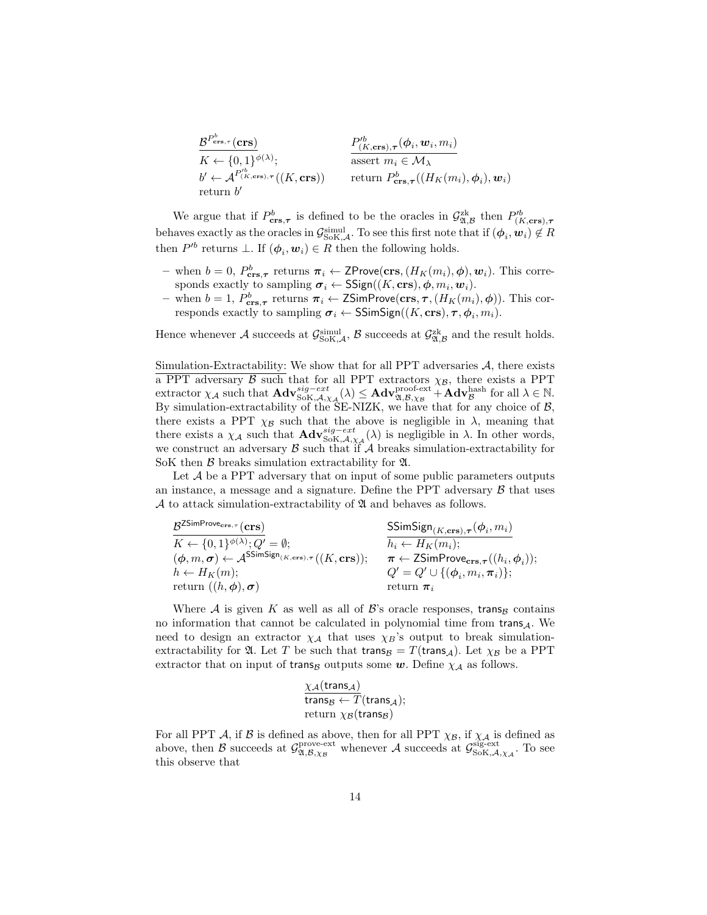$$
\begin{array}{ll}\n\mathcal{B}^{P_{\text{crs},\tau}^b(\text{crs})} & H^{\prime b}_{(K,\text{crs}),\tau}(\phi_i, \mathbf{w}_i, m_i) \\
\hline\nK \leftarrow \{0,1\}^{\phi(\lambda)}; & \text{assert } m_i \in \mathcal{M}_\lambda \\
\mathcal{B}' \leftarrow \mathcal{A}^{P_{(K,\text{crs}),\tau}^b}((K,\text{crs})) & \text{return } P_{\text{crs},\tau}^b((H_K(m_i), \phi_i), \mathbf{w}_i)\n\end{array}
$$
\nreturn  $b'$ 

We argue that if  $P_{\text{crs},\tau}^b$  is defined to be the oracles in  $\mathcal{G}_{\mathfrak{A},\mathcal{B}}^{z\mathbf{k}}$  then  $P_{(K,\text{crs}),\tau}^{lb}$ behaves exactly as the oracles in  $\mathcal{G}_{\text{Sok},\mathcal{A}}^{\text{simul}}$ . To see this first note that if  $(\phi_i, w_i) \notin R$ then  $P'^b$  returns  $\perp$ . If  $(\phi_i, w_i) \in R$  then the following holds.

- when  $b = 0$ ,  $P_{\text{crs},\tau}^b$  returns  $\pi_i \leftarrow \text{ZProve}(\text{crs},(H_K(m_i),\phi),w_i)$ . This corresponds exactly to sampling  $\sigma_i \leftarrow \mathsf{SSign}((K, \mathbf{crs}), \phi, m_i, \mathbf{w}_i).$
- when  $b = 1$ ,  $P_{\text{crs}, \tau}^b$  returns  $\pi_i \leftarrow \text{ZSimProve}(\text{crs}, \tau, (H_K(m_i), \phi))$ . This corresponds exactly to sampling  $\sigma_i \leftarrow \mathsf{SSimSign}((K,\mathbf{crs}), \tau, \phi_i, m_i).$

Hence whenever A succeeds at  $\mathcal{G}_{SOK,\mathcal{A}}^{simul}$ , B succeeds at  $\mathcal{G}_{\mathfrak{A},\mathcal{B}}^{zk}$  and the result holds.

Simulation-Extractability: We show that for all PPT adversaries  $A$ , there exists a PPT adversary  $\beta$  such that for all PPT extractors  $\chi_{\beta}$ , there exists a PPT extractor  $\chi_{\mathcal{A}}$  such that  $\mathbf{Adv}_{\mathrm{Sok},\mathcal{A},\chi_{\mathcal{A}}}^{sig-ext}(\lambda) \leq \mathbf{Adv}_{\mathfrak{A},\mathcal{B},\chi_{\mathcal{B}}}^{\mathrm{proof-ext}} + \mathbf{Adv}_{\mathcal{B}}^{\mathrm{hash}}$  for all  $\lambda \in \mathbb{N}$ . By simulation-extractability of the SE-NIZK, we have that for any choice of  $\mathcal{B}$ , there exists a PPT  $\chi_B$  such that the above is negligible in  $\lambda$ , meaning that there exists a  $\chi_{\mathcal{A}}$  such that  $\mathbf{Adv}_{\mathrm{Sok},\mathcal{A},\chi_{\mathcal{A}}}^{sig-ext}(\lambda)$  is negligible in  $\lambda$ . In other words, we construct an adversary  $\beta$  such that if  $\mathcal A$  breaks simulation-extractability for SoK then  $\beta$  breaks simulation extractability for  $\mathfrak{A}$ .

Let  $A$  be a PPT adversary that on input of some public parameters outputs an instance, a message and a signature. Define the PPT adversary  $\beta$  that uses  $\mathcal A$  to attack simulation-extractability of  $\mathfrak A$  and behaves as follows.

| $\beta^{\text{ZSimProve}_{\text{crs},\tau}}(\text{crs})$                                                                       | SSimSign <sub><math>(K, \text{crs})</math>, <math>\tau(\phi_i, m_i)</math></sub> |
|--------------------------------------------------------------------------------------------------------------------------------|----------------------------------------------------------------------------------|
| $K \leftarrow \{0,1\}^{\phi(\lambda)}$ ; $Q' = \emptyset$ ;                                                                    | $h_i \leftarrow H_K(m_i);$                                                       |
| $(\boldsymbol{\phi}, m, \boldsymbol{\sigma}) \leftarrow \mathcal{A}^{\text{SSimSign}(K, \text{crs}), \tau} ((K, \text{crs}));$ | $\pi \leftarrow \text{ZSimProve}_{\text{crs},\tau}((h_i,\phi_i));$               |
| $h \leftarrow H_K(m);$                                                                                                         | $Q' = Q' \cup \{(\phi_i, m_i, \pi_i)\};$                                         |
| return $((h, \phi), \sigma)$                                                                                                   | return $\pi_i$                                                                   |

Where A is given K as well as all of  $\mathcal{B}$ 's oracle responses, trans<sub>B</sub> contains no information that cannot be calculated in polynomial time from  $trans_{A}$ . We need to design an extractor  $\chi_A$  that uses  $\chi_B$ 's output to break simulationextractability for  $\mathfrak{A}$ . Let T be such that trans $\mathfrak{B} = T(\text{trans}_{\mathcal{A}})$ . Let  $\chi_{\mathcal{B}}$  be a PPT extractor that on input of trans<sub>B</sub> outputs some w. Define  $\chi_A$  as follows.

$$
\frac{\chi_{\mathcal{A}}(\text{trans}_{\mathcal{A}})}{\text{trans}_{\mathcal{B}} \leftarrow T(\text{trans}_{\mathcal{A}});}
$$
 return 
$$
\chi_{\mathcal{B}}(\text{trans}_{\mathcal{B}})
$$

For all PPT  $\mathcal{A}$ , if  $\mathcal{B}$  is defined as above, then for all PPT  $\chi_{\mathcal{B}}$ , if  $\chi_{\mathcal{A}}$  is defined as above, then B succeeds at  $\mathcal{G}^{\text{prove-ext}}_{\mathfrak{A},\mathcal{B},\chi_{\mathcal{B}}}$  whenever A succeeds at  $\mathcal{G}^{\text{sig-ext}}_{\text{Sok},\mathcal{A},\chi_{\mathcal{A}}}$ . To see this observe that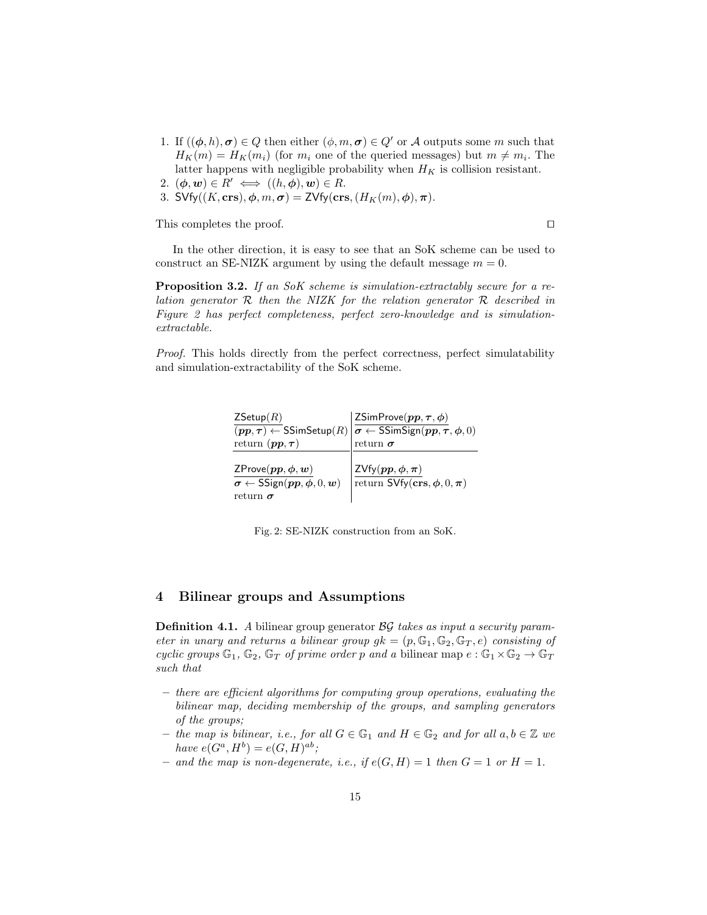- 1. If  $((\phi, h), \sigma) \in Q$  then either  $(\phi, m, \sigma) \in Q'$  or A outputs some m such that  $H_K(m) = H_K(m_i)$  (for  $m_i$  one of the queried messages) but  $m \neq m_i$ . The latter happens with negligible probability when  $H_K$  is collision resistant.
- 2.  $(\boldsymbol{\phi}, \boldsymbol{w}) \in R' \iff ((h, \boldsymbol{\phi}), \boldsymbol{w}) \in R$ .
- 3. SVfy $((K, \text{crs}), \phi, m, \sigma) =$  ZVfy $(\text{crs}, (H_K(m), \phi), \pi)$ .

This completes the proof.  $\hfill \square$ 

In the other direction, it is easy to see that an SoK scheme can be used to construct an SE-NIZK argument by using the default message  $m = 0$ .

Proposition 3.2. If an SoK scheme is simulation-extractably secure for a relation generator  $R$  then the NIZK for the relation generator  $R$  described in Figure 2 has perfect completeness, perfect zero-knowledge and is simulationextractable.

Proof. This holds directly from the perfect correctness, perfect simulatability and simulation-extractability of the SoK scheme.

| $Z$ Setup $(R)$                                    | $\big $ ZSimProve $(pp,\tau,\phi)$                                                                                                                                     |
|----------------------------------------------------|------------------------------------------------------------------------------------------------------------------------------------------------------------------------|
|                                                    | $\overline{({\bm p}{\bm p}, {\bm \tau}) \leftarrow}$ SSimSetup $(R)$ $\boxed{{\bm \sigma} \leftarrow \text{\text{SSimSign}}({\bm p}{\bm p}, {\bm \tau}, \bm \phi, 0)}$ |
| return $(pp, \tau)$                                | return $\sigma$                                                                                                                                                        |
|                                                    |                                                                                                                                                                        |
| ZProve $(pp,\phi,w)$                               | $ \mathsf{ZVfy}(pp,\phi,\pi) $                                                                                                                                         |
| $\sigma \leftarrow \mathsf{SSign}(pp, \phi, 0, w)$ | return $SVfy(crs, \phi, 0, \pi)$                                                                                                                                       |
| return $\sigma$                                    |                                                                                                                                                                        |

Fig. 2: SE-NIZK construction from an SoK.

# 4 Bilinear groups and Assumptions

**Definition 4.1.** A bilinear group generator  $\beta \mathcal{G}$  takes as input a security parameter in unary and returns a bilinear group  $g_k = (p, \mathbb{G}_1, \mathbb{G}_2, \mathbb{G}_T, e)$  consisting of cyclic groups  $\mathbb{G}_1$ ,  $\mathbb{G}_2$ ,  $\mathbb{G}_T$  of prime order p and a bilinear map  $e : \mathbb{G}_1 \times \mathbb{G}_2 \to \mathbb{G}_T$ such that

- there are efficient algorithms for computing group operations, evaluating the bilinear map, deciding membership of the groups, and sampling generators of the groups;
- the map is bilinear, i.e., for all  $G \in \mathbb{G}_1$  and  $H \in \mathbb{G}_2$  and for all  $a, b \in \mathbb{Z}$  we have  $e(G^a, H^b) = e(G, H)^{ab}$ ;
- and the map is non-degenerate, i.e., if  $e(G, H) = 1$  then  $G = 1$  or  $H = 1$ .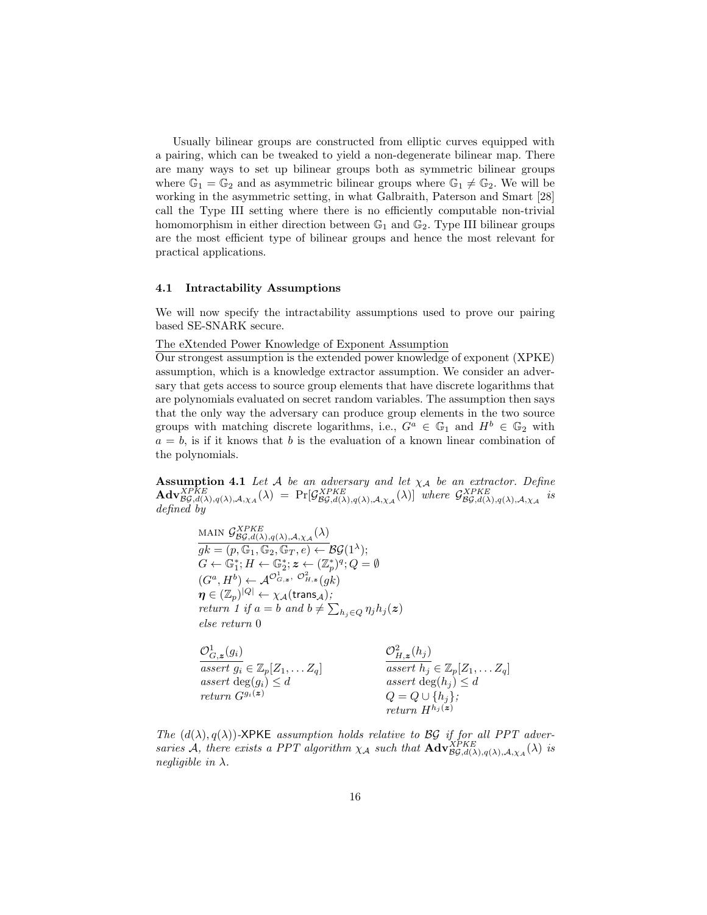Usually bilinear groups are constructed from elliptic curves equipped with a pairing, which can be tweaked to yield a non-degenerate bilinear map. There are many ways to set up bilinear groups both as symmetric bilinear groups where  $\mathbb{G}_1 = \mathbb{G}_2$  and as asymmetric bilinear groups where  $\mathbb{G}_1 \neq \mathbb{G}_2$ . We will be working in the asymmetric setting, in what Galbraith, Paterson and Smart [28] call the Type III setting where there is no efficiently computable non-trivial homomorphism in either direction between  $\mathbb{G}_1$  and  $\mathbb{G}_2$ . Type III bilinear groups are the most efficient type of bilinear groups and hence the most relevant for practical applications.

#### 4.1 Intractability Assumptions

We will now specify the intractability assumptions used to prove our pairing based SE-SNARK secure.

The eXtended Power Knowledge of Exponent Assumption

Our strongest assumption is the extended power knowledge of exponent (XPKE) assumption, which is a knowledge extractor assumption. We consider an adversary that gets access to source group elements that have discrete logarithms that are polynomials evaluated on secret random variables. The assumption then says that the only way the adversary can produce group elements in the two source groups with matching discrete logarithms, i.e.,  $G^a \in \mathbb{G}_1$  and  $H^b \in \mathbb{G}_2$  with  $a = b$ , is if it knows that b is the evaluation of a known linear combination of the polynomials.

**Assumption 4.1** Let  $A$  be an adversary and let  $\chi_A$  be an extractor. Define  $\mathbf{Adv}_{\mathcal{BG},d(\lambda),q(\lambda),\mathcal{A},\chi_A}^{XPKE}(\lambda) = \Pr[\mathcal{G}_{\mathcal{BG},d(\lambda),q(\lambda),\mathcal{A},\chi_A}^{XPKE}(\lambda)]$  where  $\mathcal{G}_{\mathcal{BG},d(\lambda),q(\lambda),\mathcal{A},\chi_A}^{XPKE}$  is defined by

MAIN  $\mathcal{G}_{\mathcal{BG},d(\lambda),q(\lambda),\mathcal{A},\chi_{\mathcal{A}}}^{XPKE}(\lambda)$  $gk = (p, \mathbb{G}_1, \mathbb{G}_2, \mathbb{G}_T, e) \leftarrow \mathcal{B}\mathcal{G}(1^{\lambda});$  $G \leftarrow \hat{\mathbb{G}}^*_1; H \leftarrow \mathbb{G}^*_2; \boldsymbol{z} \leftarrow (\mathbb{Z}_p^*)^q; Q = \emptyset$  $(G^a, H^b) \leftarrow \mathcal{A}^{\mathcal{O}_{G,\bm{z}}^1, \ \mathcal{O}_{H,\bm{z}}^2}(\mathring{g_k})$  $\boldsymbol \eta \in (\mathbb{Z}_p)^{|Q|} \leftarrow \chi_{\mathcal{A}}(\mathsf{trans}_{\mathcal{A}});$ return 1 if  $a = b$  and  $b \neq \sum_{h_j \in Q} \eta_j h_j(z)$ else return 0

 $\mathcal{O}_{G,\boldsymbol{z}}^1(g_i)$   $\mathcal{O}_{H,\boldsymbol{z}}^2(h_j)$  $\overline{assert\ g_i} \in \mathbb{Z}_p[Z_1, \ldots Z_q]$  assert  $\overline{h_j} \in \mathbb{Z}_p[Z_1, \ldots Z_q]$ assert  $\deg(g_i) \leq d$  assert  $\deg(h_j) \leq d$ return  $G^{g_i(z)}$   $Q = Q \cup \{h_j\};$ return  $H^{h_j(z)}$ 

The  $(d(\lambda), q(\lambda))$ -XPKE assumption holds relative to BG if for all PPT adversaries A, there exists a PPT algorithm  $\chi_A$  such that  $\mathbf{Adv}_{\mathcal{BG},d(\lambda),q(\lambda),\mathcal{A},\chi_A}^{XYKE}(\lambda)$  is negligible in  $\lambda$ .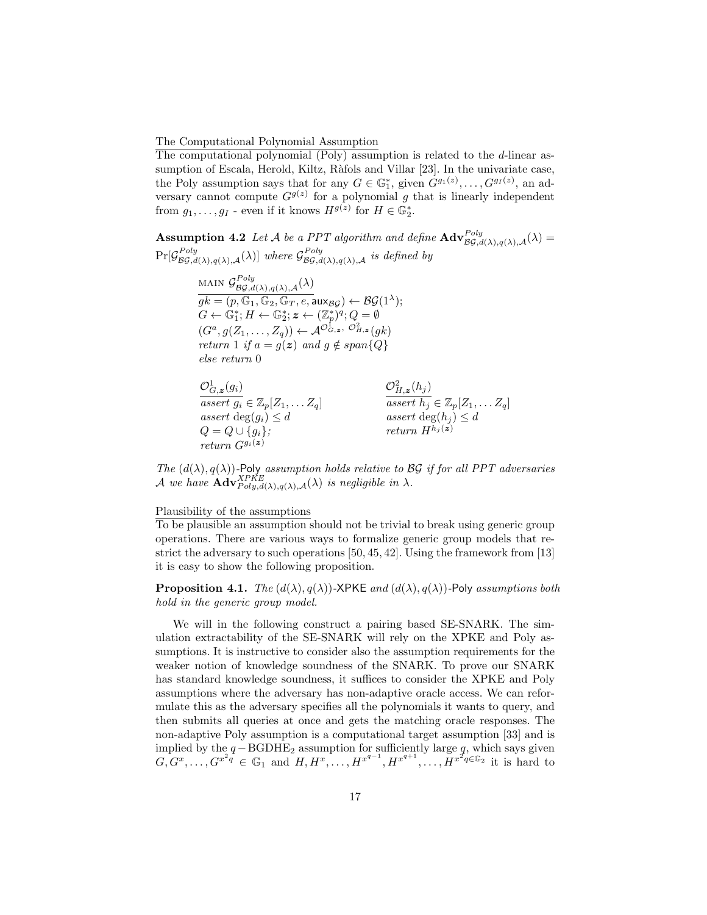The Computational Polynomial Assumption

The computational polynomial (Poly) assumption is related to the d-linear assumption of Escala, Herold, Kiltz, Ràfols and Villar [23]. In the univariate case, the Poly assumption says that for any  $G \in \mathbb{G}_1^*$ , given  $G^{g_1(z)}, \ldots, G^{g_I(z)}$ , an adversary cannot compute  $G^{g(z)}$  for a polynomial g that is linearly independent from  $g_1, \ldots, g_I$  - even if it knows  $H^{g(z)}$  for  $H \in \mathbb{G}_2^*$ .

**Assumption 4.2** Let A be a PPT algorithm and define  $\text{Adv}_{\mathcal{B}\mathcal{G},d(\lambda),q(\lambda),\mathcal{A}}^{Poly}(\lambda)$  $\Pr[\mathcal{G}_{\mathcal{R}\mathcal{G}}^{\mathit{Poly}}]$  $_{\mathcal{B}\mathcal{G},d(\lambda),q(\lambda),\mathcal{A}}^{\text{Poly}}(\lambda)$ ] where  $\mathcal{G}_{\mathcal{B}\mathcal{G},d(\lambda),\mathcal{A}}^{\text{Poly}}(\lambda)$  $\mathcal{B}\mathcal{G}, d(\lambda), q(\lambda), \mathcal{A}$  is defined by

> MAIN  $\mathcal{G}_{\mathcal{B}\mathcal{C}}^{Poly}$  $B^{Poly}_{\mathcal{B}\mathcal{G},d(\lambda),q(\lambda),\mathcal{A}}(\lambda)$  $\overline{gk} = (p, \overline{\mathbb{G}_{1}}, \overline{\mathbb{G}_{2}}, \overline{\mathbb{G}_{T}}, \overline{e}, \mathsf{aux}_{\mathcal{B}\mathcal{G}}) \leftarrow \mathcal{B}\mathcal{G}(1^{\lambda});$  $G \leftarrow \widehat{\mathbb{G}}^*_1; H \leftarrow \mathbb{G}^*_2; \bm{z} \leftarrow (\mathbb{Z}_p^*)^q; Q = \emptyset$  $(G^a, g(Z_1, \ldots, Z_q)) \leftarrow \mathcal{A}^{\mathcal{O}_{G,\bm{z}}^{\dagger}}, \mathcal{O}_{H,\bm{z}}^2(gk))$ return 1 if  $a = g(z)$  and  $g \notin span\{Q\}$ else return 0

 $\mathcal{O}_{G,\boldsymbol{z}}^1(g_i)$   $\mathcal{O}_F^2$  $_{H,\boldsymbol{z}}^{2}(h_{j})$  $\overline{assert\ g_i} \in \mathbb{Z}_p[Z_1, \ldots Z_q]$  assert  $h_j \in \mathbb{Z}_p[Z_1, \ldots Z_q]$ assert deg $(g_i) \leq d$  assert deg $(h_j) \leq d$  $Q = Q \cup \{g_i\};$  return  $H^{h_j(z)}$ return  $G^{g_i(z)}$ 

The  $(d(\lambda), q(\lambda))$ -Poly assumption holds relative to BG if for all PPT adversaries A we have  $\mathbf{Adv}_{Poly,d(\lambda),q(\lambda),\mathcal{A}}^{XPKE}(\lambda)$  is negligible in  $\lambda$ .

#### Plausibility of the assumptions

To be plausible an assumption should not be trivial to break using generic group operations. There are various ways to formalize generic group models that restrict the adversary to such operations [50, 45, 42]. Using the framework from [13] it is easy to show the following proposition.

**Proposition 4.1.** The  $(d(\lambda), q(\lambda))$ -XPKE and  $(d(\lambda), q(\lambda))$ -Poly assumptions both hold in the generic group model.

We will in the following construct a pairing based SE-SNARK. The simulation extractability of the SE-SNARK will rely on the XPKE and Poly assumptions. It is instructive to consider also the assumption requirements for the weaker notion of knowledge soundness of the SNARK. To prove our SNARK has standard knowledge soundness, it suffices to consider the XPKE and Poly assumptions where the adversary has non-adaptive oracle access. We can reformulate this as the adversary specifies all the polynomials it wants to query, and then submits all queries at once and gets the matching oracle responses. The non-adaptive Poly assumption is a computational target assumption [33] and is implied by the  $q - \text{BGDHE}_2$  assumption for sufficiently large q, which says given  $G, G^x, \ldots, G^{x^2 q} \in \mathbb{G}_1$  and  $H, H^x, \ldots, H^{x^{q-1}}, H^{x^{q+1}}, \ldots, H^{x^2 q} \in \mathbb{G}_2$  it is hard to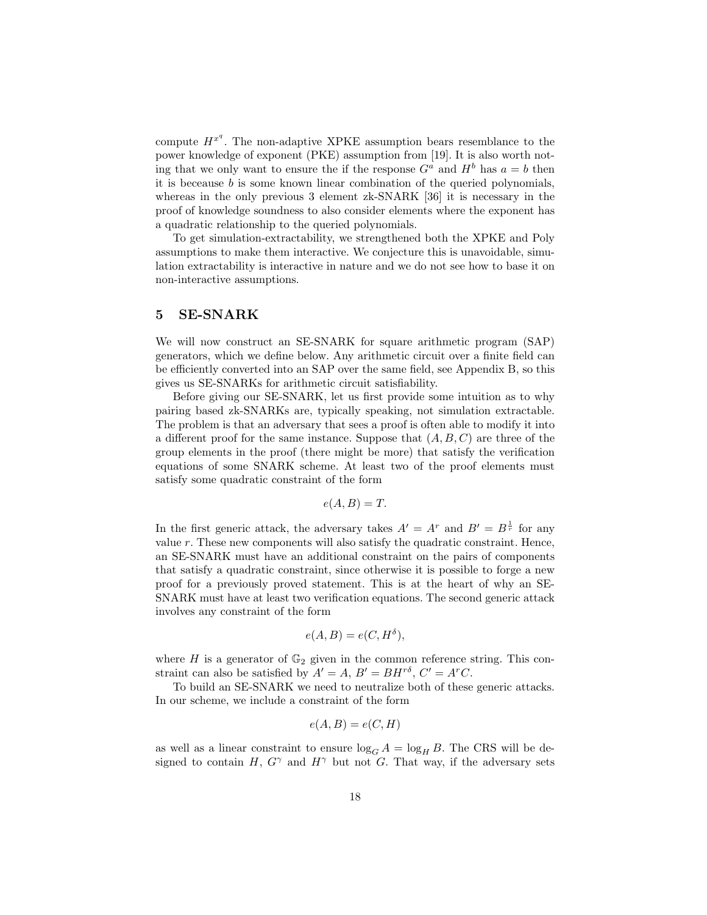compute  $H^{x^q}$ . The non-adaptive XPKE assumption bears resemblance to the power knowledge of exponent (PKE) assumption from [19]. It is also worth noting that we only want to ensure the if the response  $G^a$  and  $H^b$  has  $a = b$  then it is beceause  $b$  is some known linear combination of the queried polynomials, whereas in the only previous 3 element zk-SNARK [36] it is necessary in the proof of knowledge soundness to also consider elements where the exponent has a quadratic relationship to the queried polynomials.

To get simulation-extractability, we strengthened both the XPKE and Poly assumptions to make them interactive. We conjecture this is unavoidable, simulation extractability is interactive in nature and we do not see how to base it on non-interactive assumptions.

# 5 SE-SNARK

We will now construct an SE-SNARK for square arithmetic program (SAP) generators, which we define below. Any arithmetic circuit over a finite field can be efficiently converted into an SAP over the same field, see Appendix B, so this gives us SE-SNARKs for arithmetic circuit satisfiability.

Before giving our SE-SNARK, let us first provide some intuition as to why pairing based zk-SNARKs are, typically speaking, not simulation extractable. The problem is that an adversary that sees a proof is often able to modify it into a different proof for the same instance. Suppose that  $(A, B, C)$  are three of the group elements in the proof (there might be more) that satisfy the verification equations of some SNARK scheme. At least two of the proof elements must satisfy some quadratic constraint of the form

$$
e(A,B)=T.
$$

In the first generic attack, the adversary takes  $A' = A^r$  and  $B' = B^{\frac{1}{r}}$  for any value r. These new components will also satisfy the quadratic constraint. Hence, an SE-SNARK must have an additional constraint on the pairs of components that satisfy a quadratic constraint, since otherwise it is possible to forge a new proof for a previously proved statement. This is at the heart of why an SE-SNARK must have at least two verification equations. The second generic attack involves any constraint of the form

$$
e(A, B) = e(C, H^{\delta}),
$$

where H is a generator of  $\mathbb{G}_2$  given in the common reference string. This constraint can also be satisfied by  $A' = A$ ,  $B' = BH^{r\delta}$ ,  $C' = A^rC$ .

To build an SE-SNARK we need to neutralize both of these generic attacks. In our scheme, we include a constraint of the form

$$
e(A, B) = e(C, H)
$$

as well as a linear constraint to ensure  $\log_G A = \log_H B$ . The CRS will be designed to contain H,  $G^{\gamma}$  and  $H^{\gamma}$  but not G. That way, if the adversary sets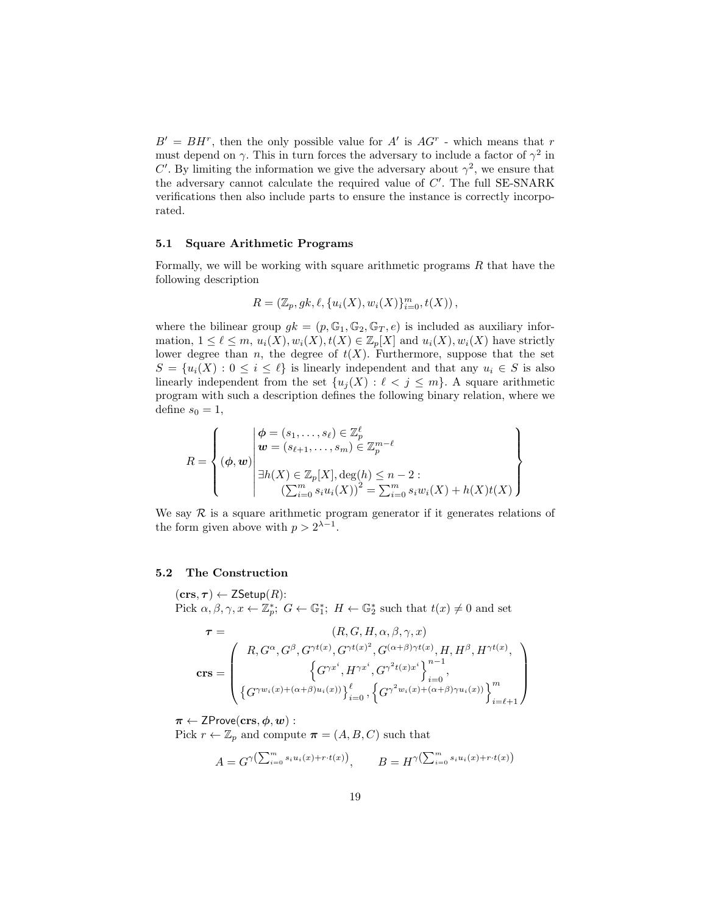$B' = BH^r$ , then the only possible value for A' is  $AG^r$  - which means that r must depend on  $\gamma$ . This in turn forces the adversary to include a factor of  $\gamma^2$  in C'. By limiting the information we give the adversary about  $\gamma^2$ , we ensure that the adversary cannot calculate the required value of  $C'$ . The full SE-SNARK verifications then also include parts to ensure the instance is correctly incorporated.

#### 5.1 Square Arithmetic Programs

Formally, we will be working with square arithmetic programs  $R$  that have the following description

$$
R = (\mathbb{Z}_p, gk, \ell, \{u_i(X), w_i(X)\}_{i=0}^m, t(X)),
$$

where the bilinear group  $g_k = (p, \mathbb{G}_1, \mathbb{G}_2, \mathbb{G}_T, e)$  is included as auxiliary information,  $1 \leq \ell \leq m$ ,  $u_i(X), w_i(X), t(X) \in \mathbb{Z}_p[X]$  and  $u_i(X), w_i(X)$  have strictly lower degree than *n*, the degree of  $t(X)$ . Furthermore, suppose that the set  $S = \{u_i(X) : 0 \leq i \leq \ell\}$  is linearly independent and that any  $u_i \in S$  is also linearly independent from the set  $\{u_i(X) : \ell \leq j \leq m\}$ . A square arithmetic program with such a description defines the following binary relation, where we define  $s_0 = 1$ ,

$$
R = \left\{ (\boldsymbol{\phi}, \boldsymbol{w}) \middle| \begin{aligned} \boldsymbol{\phi} &= (s_1, \dots, s_\ell) \in \mathbb{Z}_p^\ell \\ \boldsymbol{w} &= (s_{\ell+1}, \dots, s_m) \in \mathbb{Z}_p^{m-\ell} \\ \exists h(X) \in \mathbb{Z}_p[X], \deg(h) \le n-2 \\ (\sum_{i=0}^m s_i u_i(X))^2 &= \sum_{i=0}^m s_i w_i(X) + h(X)t(X) \end{aligned} \right\}
$$

We say  $R$  is a square arithmetic program generator if it generates relations of the form given above with  $p > 2^{\lambda - 1}$ .

### 5.2 The Construction

 $(\mathbf{crs}, \boldsymbol{\tau}) \leftarrow \mathsf{ZSetup}(R)$ : Pick  $\alpha, \beta, \gamma, x \leftarrow \mathbb{Z}_p^*$ ;  $G \leftarrow \mathbb{G}_1^*$ ;  $H \leftarrow \mathbb{G}_2^*$  such that  $t(x) \neq 0$  and set

$$
\boldsymbol{\tau} = (R, G, H, \alpha, \beta, \gamma, x)
$$

$$
\mathbf{crs} = \begin{pmatrix} R, G^{\alpha}, G^{\beta}, G^{\gamma t(x)}, G^{\gamma t(x)^{2}}, G^{(\alpha+\beta)\gamma t(x)}, H, H^{\beta}, H^{\gamma t(x)}, \\ \left\{ G^{\gamma x^{i}}, H^{\gamma x^{i}}, G^{\gamma^{2} t(x)x^{i}} \right\}_{i=0}^{n-1}, \\ \left\{ G^{\gamma w_{i}(x) + (\alpha+\beta)u_{i}(x))} \right\}_{i=0}^{\ell}, \left\{ G^{\gamma^{2}w_{i}(x) + (\alpha+\beta)\gamma u_{i}(x))} \right\}_{i=\ell+1}^{m} \end{pmatrix}
$$

 $\pi \leftarrow$  ZProve $(\text{crs}, \phi, w)$ :

Pick  $r \leftarrow \mathbb{Z}_p$  and compute  $\boldsymbol{\pi} = (A, B, C)$  such that

$$
A = G^{\gamma(\sum_{i=0}^{m} s_i u_i(x) + r \cdot t(x))}, \qquad B = H^{\gamma(\sum_{i=0}^{m} s_i u_i(x) + r \cdot t(x))}
$$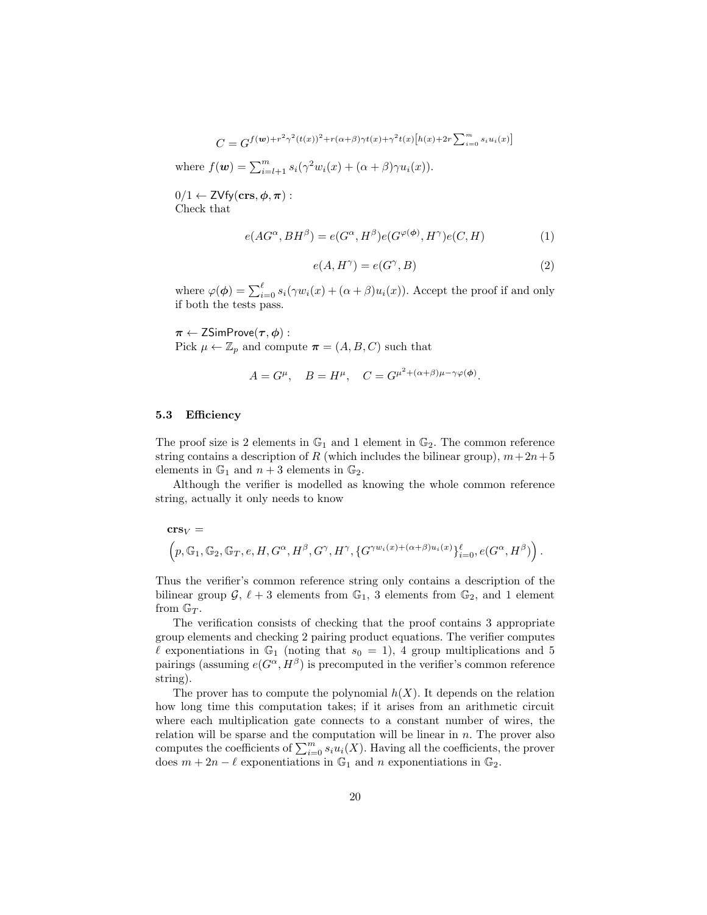$$
C = G^{f(w) + r^2 \gamma^2 (t(x))^2 + r(\alpha + \beta) \gamma t(x) + \gamma^2 t(x) [h(x) + 2r \sum_{i=0}^{m} s_i u_i(x)]}
$$

where  $f(\boldsymbol{w}) = \sum_{i=l+1}^{m} s_i(\gamma^2 w_i(x) + (\alpha + \beta)\gamma u_i(x)).$ 

 $0/1 \leftarrow$  ZVfy(crs,  $\phi$ ,  $\pi$ ) : Check that

$$
e(AG^{\alpha}, BH^{\beta}) = e(G^{\alpha}, H^{\beta})e(G^{\varphi(\phi)}, H^{\gamma})e(C, H)
$$
 (1)

$$
e(A, H^{\gamma}) = e(G^{\gamma}, B) \tag{2}
$$

where  $\varphi(\phi) = \sum_{i=0}^{\ell} s_i(\gamma w_i(x) + (\alpha + \beta)u_i(x))$ . Accept the proof if and only if both the tests pass.

 $\pi \leftarrow \text{ZSimProve}(\tau, \phi)$ : Pick  $\mu \leftarrow \mathbb{Z}_p$  and compute  $\boldsymbol{\pi} = (A, B, C)$  such that

$$
A = G^{\mu}, \quad B = H^{\mu}, \quad C = G^{\mu^2 + (\alpha + \beta)\mu - \gamma \varphi(\phi)}.
$$

#### 5.3 Efficiency

The proof size is 2 elements in  $\mathbb{G}_1$  and 1 element in  $\mathbb{G}_2$ . The common reference string contains a description of R (which includes the bilinear group),  $m+2n+5$ elements in  $\mathbb{G}_1$  and  $n+3$  elements in  $\mathbb{G}_2$ .

Although the verifier is modelled as knowing the whole common reference string, actually it only needs to know

$$
\begin{aligned} \mathbf{crs}_V = \\ & \left( p, \mathbb{G}_1, \mathbb{G}_2, \mathbb{G}_T, e, H, G^\alpha, H^\beta, G^\gamma, H^\gamma, \{ G^{\gamma w_i(x) + (\alpha + \beta) u_i(x)} \}_{i=0}^\ell, e(G^\alpha, H^\beta) \right). \end{aligned}
$$

Thus the verifier's common reference string only contains a description of the bilinear group  $\mathcal{G}, \ell + 3$  elements from  $\mathbb{G}_1$ , 3 elements from  $\mathbb{G}_2$ , and 1 element from  $\mathbb{G}_T$ .

The verification consists of checking that the proof contains 3 appropriate group elements and checking 2 pairing product equations. The verifier computes  $\ell$  exponentiations in  $\mathbb{G}_1$  (noting that  $s_0 = 1$ ), 4 group multiplications and 5 pairings (assuming  $e(G^{\alpha}, H^{\beta})$  is precomputed in the verifier's common reference string).

The prover has to compute the polynomial  $h(X)$ . It depends on the relation how long time this computation takes; if it arises from an arithmetic circuit where each multiplication gate connects to a constant number of wires, the relation will be sparse and the computation will be linear in  $n$ . The prover also computes the coefficients of  $\sum_{i=0}^{m} s_i u_i(X)$ . Having all the coefficients, the prover does  $m + 2n - \ell$  exponentiations in  $\mathbb{G}_1$  and n exponentiations in  $\mathbb{G}_2$ .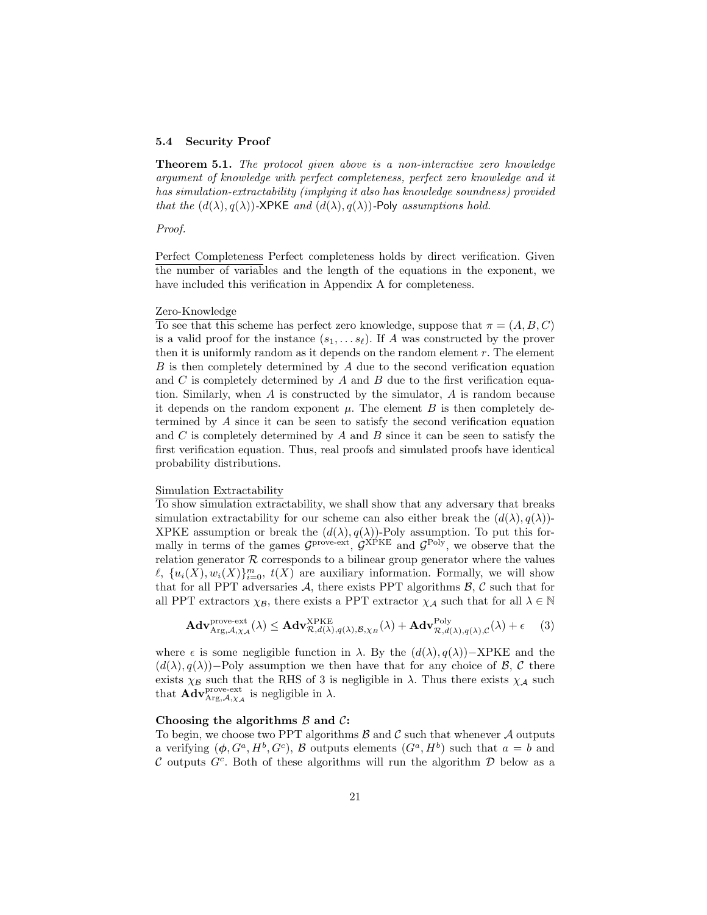#### 5.4 Security Proof

Theorem 5.1. The protocol given above is a non-interactive zero knowledge argument of knowledge with perfect completeness, perfect zero knowledge and it has simulation-extractability (implying it also has knowledge soundness) provided that the  $(d(\lambda), q(\lambda))$ -XPKE and  $(d(\lambda), q(\lambda))$ -Poly assumptions hold.

### Proof.

Perfect Completeness Perfect completeness holds by direct verification. Given the number of variables and the length of the equations in the exponent, we have included this verification in Appendix A for completeness.

### Zero-Knowledge

To see that this scheme has perfect zero knowledge, suppose that  $\pi = (A, B, C)$ is a valid proof for the instance  $(s_1, \ldots s_\ell)$ . If A was constructed by the prover then it is uniformly random as it depends on the random element  $r$ . The element  $B$  is then completely determined by  $A$  due to the second verification equation and  $C$  is completely determined by  $A$  and  $B$  due to the first verification equation. Similarly, when  $A$  is constructed by the simulator,  $A$  is random because it depends on the random exponent  $\mu$ . The element B is then completely determined by A since it can be seen to satisfy the second verification equation and C is completely determined by A and B since it can be seen to satisfy the first verification equation. Thus, real proofs and simulated proofs have identical probability distributions.

#### Simulation Extractability

To show simulation extractability, we shall show that any adversary that breaks simulation extractability for our scheme can also either break the  $(d(\lambda), q(\lambda))$ -XPKE assumption or break the  $(d(\lambda), q(\lambda))$ -Poly assumption. To put this formally in terms of the games  $\mathcal{G}^{\text{prove-ext}}$ ,  $\mathcal{G}^{\text{XPKE}}$  and  $\mathcal{G}^{\text{Poly}}$ , we observe that the relation generator  $R$  corresponds to a bilinear group generator where the values  $\ell$ ,  ${u_i(X), w_i(X)}_{i=0}^m$ ,  $t(X)$  are auxiliary information. Formally, we will show that for all PPT adversaries  $A$ , there exists PPT algorithms  $B$ ,  $C$  such that for all PPT extractors  $\chi_{\mathcal{B}}$ , there exists a PPT extractor  $\chi_{\mathcal{A}}$  such that for all  $\lambda \in \mathbb{N}$ 

$$
\mathbf{Adv}_{\mathrm{Arg},\mathcal{A},\chi_{\mathcal{A}}}^{\mathrm{proveext}}(\lambda) \leq \mathbf{Adv}_{\mathcal{R},d(\lambda),q(\lambda),\mathcal{B},\chi_{B}}^{\mathrm{XPKE}}(\lambda) + \mathbf{Adv}_{\mathcal{R},d(\lambda),q(\lambda),c}^{\mathrm{Poly}}(\lambda) + \epsilon \qquad (3)
$$

where  $\epsilon$  is some negligible function in  $\lambda$ . By the  $(d(\lambda), q(\lambda))$ –XPKE and the  $(d(\lambda), q(\lambda))$ –Poly assumption we then have that for any choice of B, C there exists  $\chi_B$  such that the RHS of 3 is negligible in  $\lambda$ . Thus there exists  $\chi_A$  such that  $\mathbf{Adv}_{\mathrm{Arg},\mathcal{A},\chi_{\mathcal{A}}}^{\text{prove-ext}}$  is negligible in  $\lambda$ .

# Choosing the algorithms  $\beta$  and  $\beta$ :

To begin, we choose two PPT algorithms  $\beta$  and  $\beta$  such that whenever  $\mathcal A$  outputs a verifying  $(\phi, G^a, H^b, G^c)$ , B outputs elements  $(G^a, H^b)$  such that  $a = b$  and C outputs  $G^c$ . Both of these algorithms will run the algorithm  $D$  below as a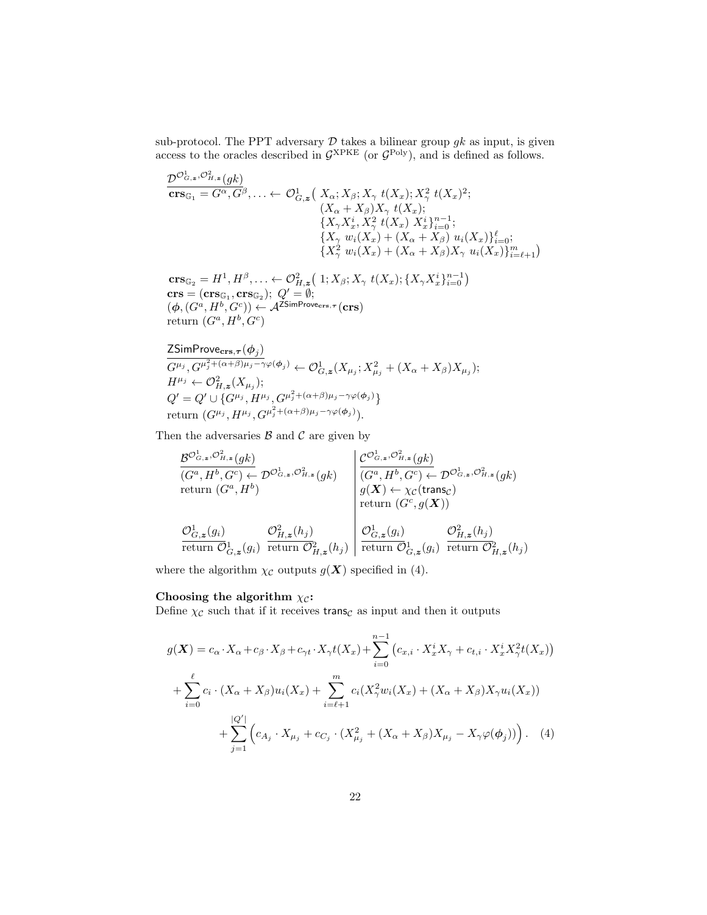sub-protocol. The PPT adversary  $D$  takes a bilinear group  $g_k$  as input, is given access to the oracles described in  $\mathcal{G}^{\text{XPKE}}$  (or  $\mathcal{G}^{\text{Poly}}$ ), and is defined as follows.

$$
\mathcal{D}^{\mathcal{O}^1_{G,\mathbf{z}},\mathcal{O}^2_{H,\mathbf{z}}}(gk)
$$
\n
$$
\mathbf{crs}_{\mathbb{G}_1} = G^{\alpha}, G^{\beta}, \dots \leftarrow \mathcal{O}^1_{G,\mathbf{z}}\left(X_{\alpha}; X_{\beta}; X_{\gamma} t(X_x); X_{\gamma}^2 t(X_x)^2; \right)
$$
\n
$$
(X_{\alpha} + X_{\beta})X_{\gamma} t(X_x);
$$
\n
$$
\{X_{\gamma} X_x^i, X_{\gamma}^2 t(X_x) X_x^i\}_{i=0}^{n-1};
$$
\n
$$
\{X_{\gamma} w_i(X_x) + (X_{\alpha} + X_{\beta}) u_i(X_x)\}_{i=0}^{\ell};
$$
\n
$$
\{X_{\gamma}^2 w_i(X_x) + (X_{\alpha} + X_{\beta})X_{\gamma} u_i(X_x)\}_{i=\ell+1}^m\}
$$
\n
$$
\mathbf{crs}_{\mathbb{G}_2} = H^1, H^{\beta}, \dots \leftarrow \mathcal{O}^2_{H,\mathbf{z}}\left(1; X_{\beta}; X_{\gamma} t(X_x); \{X_{\gamma} X_x^i\}_{i=0}^{n-1}\right)
$$

$$
\begin{aligned}\n\mathbf{crs}_{\mathbb{G}_2} &= H^+, H^{\circ}, \ldots \leftarrow \mathcal{O}_{H, \mathbf{z}}^{\mathsf{z}}(1; X_{\beta}; X_{\gamma} \ t(X_x); \{X_{\gamma} X_x^*\}_{i=0}^{\mathsf{z}}) \\
\mathbf{crs} &= (\mathbf{crs}_{\mathbb{G}_1}, \mathbf{crs}_{\mathbb{G}_2}); \ Q' = \emptyset; \\
(\phi, (G^a, H^b, G^c)) &\leftarrow \mathcal{A}^{\mathsf{ZSimProve}_{\mathbf{crs}, \tau}}(\mathbf{crs}) \\
\text{return } (G^a, H^b, G^c)\n\end{aligned}
$$

$$
\begin{aligned} & \underset{G^{\mu_j}, G^{\mu_j^2 + (\alpha + \beta)\mu_j - \gamma \varphi(\phi_j)}}{X^{\mu_j}, G^{\mu_j^2 + (\alpha + \beta)\mu_j - \gamma \varphi(\phi_j)} \leftarrow \mathcal{O}_{G,\mathbf{z}}^1(X_{\mu_j}; X_{\mu_j}^2 + (X_\alpha + X_\beta)X_{\mu_j});\\ & H^{\mu_j} \leftarrow \mathcal{O}_{H,\mathbf{z}}^2(X_{\mu_j});\\ & Q' = Q' \cup \{G^{\mu_j}, H^{\mu_j}, G^{\mu_j^2 + (\alpha + \beta)\mu_j - \gamma \varphi(\phi_j)}\} \\ & \text{return } (G^{\mu_j}, H^{\mu_j}, G^{\mu_j^2 + (\alpha + \beta)\mu_j - \gamma \varphi(\phi_j)}). \end{aligned}
$$

Then the adversaries  $\mathcal B$  and  $\mathcal C$  are given by

$$
\begin{array}{ll} \displaystyle \frac{\mathcal{B}^{\mathcal{O}^1_{G,\mathbf{z}},\mathcal{O}^2_{H,\mathbf{z}}}(gk)}{(G^a,H^b,G^c)\leftarrow \mathcal{D}^{\mathcal{O}^1_{G,\mathbf{z}},\mathcal{O}^2_{H,\mathbf{z}}}(gk)} & \left|\begin{array}{c} \mathcal{C}^{\mathcal{O}^1_{G,\mathbf{z}},\mathcal{O}^2_{H,\mathbf{z}}}(gk) \\ (G^a,H^b,G^c)\leftarrow \mathcal{D}^{\mathcal{O}^1_{G,\mathbf{z}},\mathcal{O}^2_{H,\mathbf{z}}}(gk) \\ \text{return } (G^a,H^b)\end{array}\right. \right| \\ \displaystyle \left|\begin{array}{c} \mathcal{C}^{\mathcal{O}^1_{G,\mathbf{z}},\mathcal{O}^2_{H,\mathbf{z}}}(gk) \\ (G^a,H^b,G^c)\leftarrow \mathcal{D}^{\mathcal{O}^1_{G,\mathbf{z}},\mathcal{O}^2_{H,\mathbf{z}}}(gk) \\ g(\mathbf{X})\leftarrow \chi_{\mathcal{C}}(\mathsf{trans}_{\mathcal{C}}) \\ \text{return } (G^c,g(\mathbf{X})) \end{array}\right. \right) \\ \displaystyle \left|\begin{array}{c} \mathcal{O}^1_{G,\mathbf{z}}(g_i) \\ \text{return } (\mathcal{G}^c,g(\mathbf{X})) \\ \text{return } (\mathcal{G}^c,g(\mathbf{X})) \end{array}\right| \left|\begin{array}{c} \mathcal{O}^1_{H,\mathbf{z}}(h_j) \\ \text{return } (\mathcal{G}^c,g(\mathbf{X})) \\ \text{return } \mathcal{O}^1_{H,\mathbf{z}}(h_j) \\ \text{return } \mathcal{O}^2_{H,\mathbf{z}}(h_j) \end{array}\right. \right| \\
$$

where the algorithm  $\chi_{\mathcal{C}}$  outputs  $g(\mathbf{X})$  specified in (4).

# Choosing the algorithm  $\chi_{\mathcal{C}}$ :

Define  $\chi_{\mathcal{C}}$  such that if it receives trans<sub>*c*</sub> as input and then it outputs

$$
g(\mathbf{X}) = c_{\alpha} \cdot X_{\alpha} + c_{\beta} \cdot X_{\beta} + c_{\gamma t} \cdot X_{\gamma} t(X_x) + \sum_{i=0}^{n-1} (c_{x,i} \cdot X_x^i X_{\gamma} + c_{t,i} \cdot X_x^i X_{\gamma}^2 t(X_x))
$$
  
+ 
$$
\sum_{i=0}^{\ell} c_i \cdot (X_{\alpha} + X_{\beta}) u_i(X_x) + \sum_{i=\ell+1}^{m} c_i (X_{\gamma}^2 w_i(X_x) + (X_{\alpha} + X_{\beta}) X_{\gamma} u_i(X_x))
$$
  
+ 
$$
\sum_{j=1}^{|Q'|} (c_{A_j} \cdot X_{\mu_j} + c_{C_j} \cdot (X_{\mu_j}^2 + (X_{\alpha} + X_{\beta}) X_{\mu_j} - X_{\gamma} \varphi(\phi_j))) \quad (4)
$$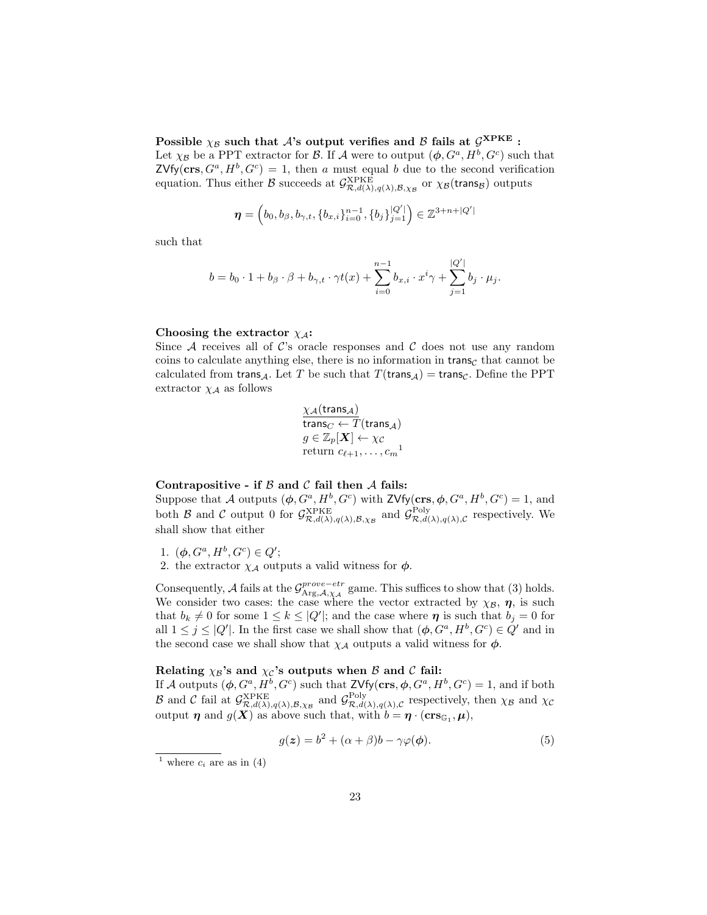Possible  $\chi_B$  such that A's output verifies and B fails at  $\mathcal{G}^{\text{XPKE}}$  : Let  $\chi_{\mathcal{B}}$  be a PPT extractor for  $\mathcal{B}$ . If  $\mathcal{A}$  were to output  $(\phi, G^a, H^b, G^c)$  such that  $ZVfy(\text{crs}, G^a, H^b, G^c) = 1$ , then a must equal b due to the second verification equation. Thus either  $\mathcal B$  succeeds at  $\mathcal G_{\mathcal R,d(\lambda),q(\lambda),\mathcal B,\chi_{\mathcal B}}^{X\mathrm{PKE}}$  or  $\chi_{\mathcal B}(\mathsf{trans}_\mathcal B)$  outputs

$$
\boldsymbol{\eta} = \left(b_0, b_{\beta}, b_{\gamma, t}, \{b_{x, i}\}_{i=0}^{n-1}, \{b_j\}_{j=1}^{|Q'|}\right) \in \mathbb{Z}^{3+n+|Q'|}
$$

such that

$$
b = b_0 \cdot 1 + b_{\beta} \cdot \beta + b_{\gamma, t} \cdot \gamma t(x) + \sum_{i=0}^{n-1} b_{x, i} \cdot x^i \gamma + \sum_{j=1}^{|Q'|} b_j \cdot \mu_j.
$$

### Choosing the extractor  $\chi_4$ :

Since A receives all of  $\mathcal{C}$ 's oracle responses and  $\mathcal{C}$  does not use any random coins to calculate anything else, there is no information in trans<sub>c</sub> that cannot be calculated from trans<sub>A</sub>. Let T be such that  $T(\text{trans}_A) = \text{trans}_C$ . Define the PPT extractor  $\chi_A$  as follows

$$
\frac{\chi_{\mathcal{A}}(\text{trans}_{\mathcal{A}})}{\text{trans}_{C} \leftarrow T(\text{trans}_{\mathcal{A}})}
$$

$$
g \in \mathbb{Z}_{p}[\mathbf{X}] \leftarrow \chi_{C}
$$
 return  $c_{\ell+1}, \ldots, c_m$ <sup>1</sup>

# Contrapositive - if  $\beta$  and  $\beta$  fail then  $\mathcal A$  fails:

Suppose that A outputs  $(\phi, G^a, H^b, G^c)$  with  $\mathsf{ZVfy}(\mathbf{crs}, \phi, G^a, H^b, G^c) = 1$ , and both B and C output 0 for  $\mathcal{G}_{\mathcal{R},d(\lambda),q(\lambda),\mathcal{B},\chi_{\mathcal{B}}}^{\text{NPKE}}$  and  $\mathcal{G}_{\mathcal{R},d(\lambda)}^{\text{Poly}}$  $\mathcal{R}_{\mathcal{A}}(\lambda), q(\lambda), \mathcal{C}$  respectively. We shall show that either

- 1.  $(\phi, G^a, H^b, G^c) \in Q';$
- 2. the extractor  $\chi_A$  outputs a valid witness for  $\phi$ .

Consequently, A fails at the  $\mathcal{G}_{\mathrm{Arg},\mathcal{A},\chi_{\mathcal{A}}}^{prove-etr}$  game. This suffices to show that (3) holds. We consider two cases: the case where the vector extracted by  $\chi_{\mathcal{B}}$ ,  $\eta$ , is such that  $b_k \neq 0$  for some  $1 \leq k \leq |Q'|$ ; and the case where  $\eta$  is such that  $b_j = 0$  for all  $1 \leq j \leq |Q'|$ . In the first case we shall show that  $(\phi, G^a, H^b, G^c) \in Q'$  and in the second case we shall show that  $\chi_A$  outputs a valid witness for  $\phi$ .

#### Relating  $\chi_B$ 's and  $\chi_C$ 's outputs when B and C fail:

If A outputs  $(\phi, G^a, H^b, G^c)$  such that  $\mathsf{ZVfy}(\mathbf{crs}, \phi, G^a, H^b, G^c) = 1$ , and if both B and C fail at  $\mathcal{G}_{\mathcal{R},d(\lambda),q(\lambda),\mathcal{B},\chi_{\mathcal{B}}}^{\text{XPKE}}$  and  $\mathcal{G}_{\mathcal{R},d(\lambda)}^{\text{Poly}}$  $\mathcal{R}_{\mathcal{R},d}(\lambda),q(\lambda),\mathcal{C}$  respectively, then  $\chi_{\mathcal{B}}$  and  $\chi_{\mathcal{C}}$ output  $\eta$  and  $g(X)$  as above such that, with  $b = \eta \cdot ( \text{crs}_{\mathbb{G}_1}, \mu),$ 

$$
g(z) = b2 + (\alpha + \beta)b - \gamma\varphi(\phi).
$$
 (5)

<sup>&</sup>lt;sup>1</sup> where  $c_i$  are as in (4)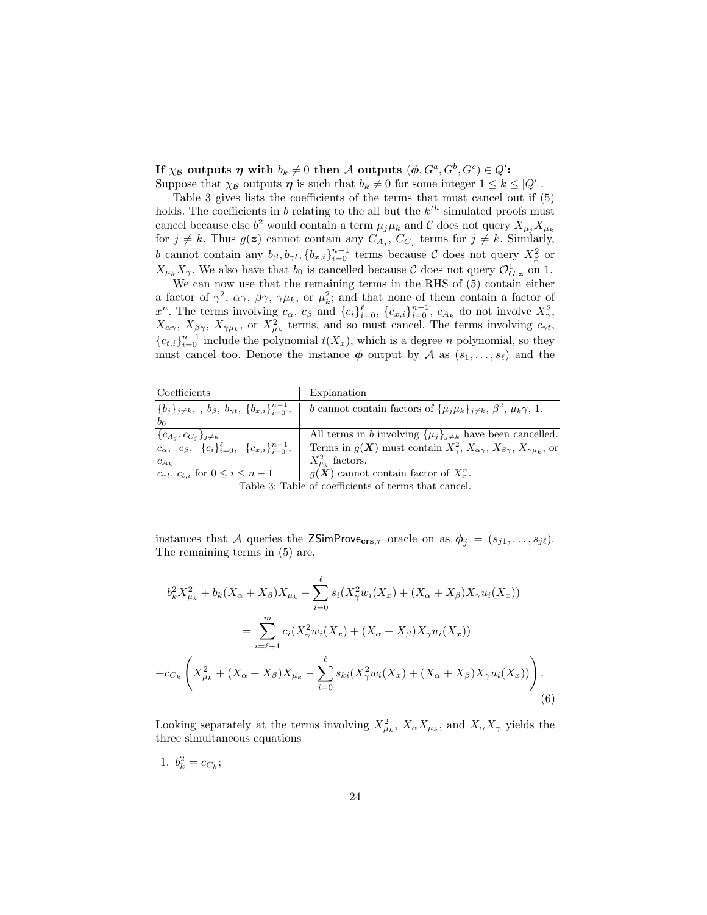If  $\chi_{\mathcal{B}}$  outputs  $\boldsymbol{\eta}$  with  $b_k \neq 0$  then A outputs  $(\boldsymbol{\phi}, G^a, G^b, G^c) \in Q'$ : Suppose that  $\chi_B$  outputs  $\eta$  is such that  $b_k \neq 0$  for some integer  $1 \leq k \leq |Q'|$ .

Table 3 gives lists the coefficients of the terms that must cancel out if (5) holds. The coefficients in b relating to the all but the  $k^{th}$  simulated proofs must cancel because else  $b^2$  would contain a term  $\mu_j \mu_k$  and  $\mathcal C$  does not query  $X_{\mu_j} X_{\mu_k}$ for  $j \neq k$ . Thus  $g(z)$  cannot contain any  $C_{A_j}$ ,  $C_{C_j}$  terms for  $j \neq k$ . Similarly, b cannot contain any  $b_{\beta}, b_{\gamma t}, \{b_{x,i}\}_{i=0}^{n-1}$  terms because C does not query  $X_{\beta}^2$  or  $X_{\mu_k} X_{\gamma}$ . We also have that  $b_0$  is cancelled because C does not query  $\mathcal{O}_{G,\mathbf{z}}^1$  on 1.

We can now use that the remaining terms in the RHS of (5) contain either a factor of  $\gamma^2$ ,  $\alpha\gamma$ ,  $\beta\gamma$ ,  $\gamma\mu_k$ , or  $\mu_k^2$ ; and that none of them contain a factor of  $x^n$ . The terms involving  $c_{\alpha}$ ,  $c_{\beta}$  and  $\{c_i\}_{i=0}^{\ell}$ ,  $\{c_{x,i}\}_{i=0}^{n-1}$ ,  $c_{A_k}$  do not involve  $X_{\gamma}^2$ ,  $X_{\alpha\gamma}$ ,  $X_{\beta\gamma}$ ,  $X_{\gamma\mu_k}$ , or  $X_{\mu_k}^2$  terms, and so must cancel. The terms involving  $c_{\gamma t}$ ,  ${c_{t,i}}_{i=0}^{n-1}$  include the polynomial  $t(X_x)$ , which is a degree n polynomial, so they must cancel too. Denote the instance  $\phi$  output by A as  $(s_1, \ldots, s_\ell)$  and the

| Coefficients                                                                             | Explanation                                                                                                 |
|------------------------------------------------------------------------------------------|-------------------------------------------------------------------------------------------------------------|
| $\{b_j\}_{j\neq k},\;,\;b_{\beta},\;b_{\gamma t},\;\{b_{x,i}\}_{i=0}^{n-1},\;\;\Big\ $   | b cannot contain factors of $\{\mu_j\mu_k\}_{j\neq k}, \beta^2, \mu_k\gamma, 1$ .                           |
| $b_0$                                                                                    |                                                                                                             |
| ${c_{A_j},c_{C_j}}_{j\neq k}$                                                            | All terms in b involving $\{\mu_j\}_{j\neq k}$ have been cancelled.                                         |
| $\overline{c_{\alpha}, \ c_{\beta}, \ \{c_i\}_{i=0}^{\ell}}, \ \{c_{x,i}\}_{i=0}^{n-1},$ | Terms in $g(X)$ must contain $X^2_\gamma$ , $X_{\alpha\gamma}$ , $X_{\beta\gamma}$ , $X_{\gamma\mu_k}$ , or |
| $c_{A_k}$                                                                                | $X_{\mu_k}^2$ factors.                                                                                      |
| $c_{\gamma t}, c_{t,i}$ for $0 \leq i \leq n-1$                                          | $g(\boldsymbol{X})$ cannot contain factor of $X_x^n$ .                                                      |

Table 3: Table of coefficients of terms that cancel.

instances that A queries the ZSimProve<sub>crs, $\tau$ </sub> oracle on as  $\phi_j = (s_{j1}, \ldots, s_{j\ell}).$ The remaining terms in (5) are,

$$
b_k^2 X_{\mu_k}^2 + b_k (X_\alpha + X_\beta) X_{\mu_k} - \sum_{i=0}^\ell s_i (X_\gamma^2 w_i (X_x) + (X_\alpha + X_\beta) X_\gamma u_i (X_x))
$$
  

$$
= \sum_{i=\ell+1}^m c_i (X_\gamma^2 w_i (X_x) + (X_\alpha + X_\beta) X_\gamma u_i (X_x))
$$
  

$$
+ c_{C_k} \left( X_{\mu_k}^2 + (X_\alpha + X_\beta) X_{\mu_k} - \sum_{i=0}^\ell s_{ki} (X_\gamma^2 w_i (X_x) + (X_\alpha + X_\beta) X_\gamma u_i (X_x)) \right).
$$
(6)

Looking separately at the terms involving  $X_{\mu_k}^2$ ,  $X_{\alpha}X_{\mu_k}$ , and  $X_{\alpha}X_{\gamma}$  yields the three simultaneous equations

$$
1. \, b_k^2 = c_{C_k};
$$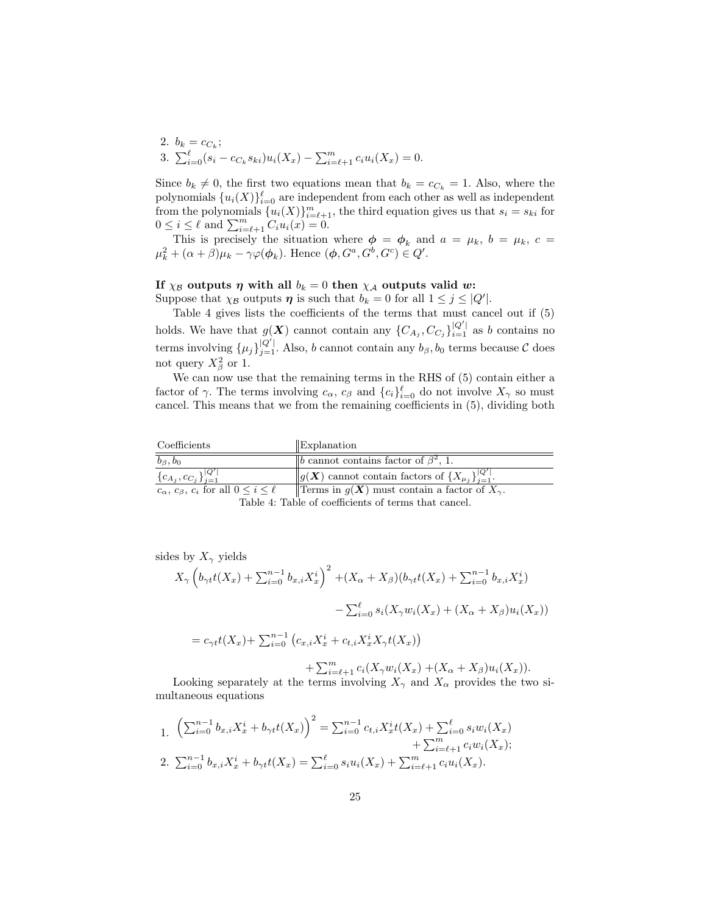2.  $b_k = c_{C_k};$ 3.  $\sum_{i=0}^{\ell} (s_i - c_{C_k} s_{ki}) u_i(X_x) - \sum_{i=\ell+1}^{m} c_i u_i(X_x) = 0.$ 

Since  $b_k \neq 0$ , the first two equations mean that  $b_k = c_{C_k} = 1$ . Also, where the polynomials  $\{u_i(X)\}_{i=0}^{\ell}$  are independent from each other as well as independent from the polynomials  $\{u_i(X)\}_{i=\ell+1}^m$ , the third equation gives us that  $s_i = s_{ki}$  for  $0 \leq i \leq \ell$  and  $\sum_{i=\ell+1}^m C_i u_i(x) = 0$ .

This is precisely the situation where  $\phi = \phi_k$  and  $a = \mu_k$ ,  $b = \mu_k$ ,  $c =$  $\mu_k^2 + (\alpha + \beta)\mu_k - \gamma\varphi(\phi_k)$ . Hence  $(\phi, G^a, G^b, G^c) \in Q'.$ 

# If  $\chi_B$  outputs  $\eta$  with all  $b_k = 0$  then  $\chi_A$  outputs valid w:

Suppose that  $\chi_B$  outputs  $\eta$  is such that  $b_k = 0$  for all  $1 \leq j \leq |Q'|$ .

Table 4 gives lists the coefficients of the terms that must cancel out if (5) holds. We have that  $g(X)$  cannot contain any  ${C_{A_j}, C_{C_j}}_{i=1}^{|Q'|}$  as b contains no terms involving  $\{\mu_j\}_{j=1}^{|Q'|}$ . Also, b cannot contain any  $b_\beta, b_0$  terms because C does not query  $X_{\beta}^2$  or 1.

We can now use that the remaining terms in the RHS of (5) contain either a factor of  $\gamma$ . The terms involving  $c_{\alpha}$ ,  $c_{\beta}$  and  $\{c_i\}_{i=0}^{\ell}$  do not involve  $X_{\gamma}$  so must cancel. This means that we from the remaining coefficients in (5), dividing both

| Coefficients                                              | $\mathbb{E}$ xplanation                                                        |
|-----------------------------------------------------------|--------------------------------------------------------------------------------|
| $b_\beta, b_0$                                            | b cannot contains factor of $\beta^2$ , 1.                                     |
| ${c_{A_i},c_{C_i}}^{Q' \ Q' \}_{i=1}$                     | $  g(\boldsymbol{X})$ cannot contain factors of $\{X_{\mu_i}\}_{i=1}^{ Q' }$ . |
| $c_{\alpha}, c_{\beta}, c_i$ for all $0 \leq i \leq \ell$ | Terms in $g(X)$ must contain a factor of $X_{\gamma}$ .                        |

Table 4: Table of coefficients of terms that cancel.

sides by  $X_{\gamma}$  yields

$$
X_{\gamma} \left( b_{\gamma t} t(X_x) + \sum_{i=0}^{n-1} b_{x,i} X_x^i \right)^2 + (X_{\alpha} + X_{\beta})(b_{\gamma t} t(X_x) + \sum_{i=0}^{n-1} b_{x,i} X_x^i)
$$

$$
- \sum_{i=0}^{\ell} s_i (X_{\gamma} w_i(X_x) + (X_{\alpha} + X_{\beta}) u_i(X_x))
$$

$$
= c_{\gamma t} t(X_x) + \sum_{i=0}^{n-1} (c_{x,i} X_x^i + c_{t,i} X_x^i X_{\gamma} t(X_x))
$$

$$
+\sum_{i=\ell+1}^m c_i(X_{\gamma}w_i(X_x) + (X_{\alpha} + X_{\beta})u_i(X_x)).
$$

Looking separately at the terms involving  $X_{\gamma}$  and  $X_{\alpha}$  provides the two simultaneous equations

1. 
$$
\left(\sum_{i=0}^{n-1} b_{x,i} X_x^i + b_{\gamma t} t(X_x)\right)^2 = \sum_{i=0}^{n-1} c_{t,i} X_x^i t(X_x) + \sum_{i=0}^{\ell} s_i w_i(X_x) + \sum_{i=\ell+1}^{m} c_i w_i(X_x);
$$
  
2. 
$$
\sum_{i=0}^{n-1} b_{x,i} X_x^i + b_{\gamma t} t(X_x) = \sum_{i=0}^{\ell} s_i u_i(X_x) + \sum_{i=\ell+1}^{m} c_i u_i(X_x).
$$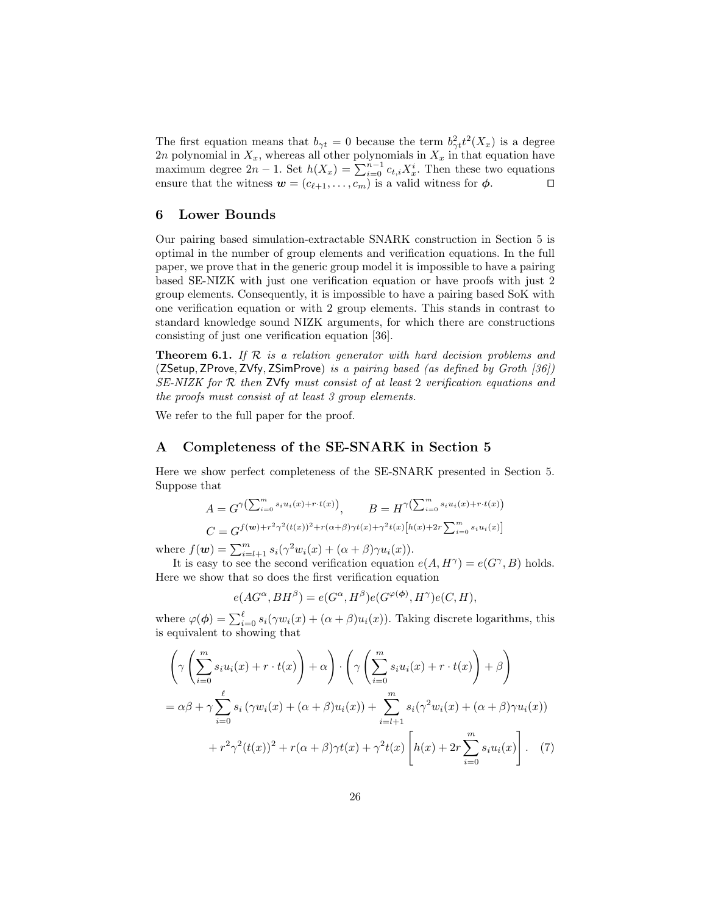The first equation means that  $b_{\gamma t} = 0$  because the term  $b_{\gamma t}^2 t^2(X_x)$  is a degree 2n polynomial in  $X_x$ , whereas all other polynomials in  $X_x$  in that equation have maximum degree  $2n-1$ . Set  $h(X_x) = \sum_{i=0}^{n-1} c_{t,i} X_x^i$ . Then these two equations ensure that the witness  $\mathbf{w} = (c_{\ell+1}, \ldots, c_m)$  is a valid witness for  $\phi$ .

# 6 Lower Bounds

Our pairing based simulation-extractable SNARK construction in Section 5 is optimal in the number of group elements and verification equations. In the full paper, we prove that in the generic group model it is impossible to have a pairing based SE-NIZK with just one verification equation or have proofs with just 2 group elements. Consequently, it is impossible to have a pairing based SoK with one verification equation or with 2 group elements. This stands in contrast to standard knowledge sound NIZK arguments, for which there are constructions consisting of just one verification equation [36].

**Theorem 6.1.** If  $R$  is a relation generator with hard decision problems and (ZSetup, ZProve, ZVfy, ZSimProve) is a pairing based (as defined by Groth [36]) SE-NIZK for R then ZVfy must consist of at least 2 verification equations and the proofs must consist of at least 3 group elements.

We refer to the full paper for the proof.

## A Completeness of the SE-SNARK in Section 5

Here we show perfect completeness of the SE-SNARK presented in Section 5. Suppose that

$$
A = G^{\gamma(\sum_{i=0}^{m} s_i u_i(x) + r \cdot t(x))}, \qquad B = H^{\gamma(\sum_{i=0}^{m} s_i u_i(x) + r \cdot t(x))}
$$

$$
C = G^{f(\mathbf{w}) + r^2 \gamma^2 (t(x))^2 + r(\alpha + \beta) \gamma t(x) + \gamma^2 t(x) [h(x) + 2r \sum_{i=0}^{m} s_i u_i(x)]}
$$

where  $f(\boldsymbol{w}) = \sum_{i=l+1}^{m} s_i(\gamma^2 w_i(x) + (\alpha + \beta)\gamma u_i(x)).$ 

It is easy to see the second verification equation  $e(A, H^{\gamma}) = e(G^{\gamma}, B)$  holds. Here we show that so does the first verification equation

$$
e(AG^{\alpha}, BH^{\beta}) = e(G^{\alpha}, H^{\beta})e(G^{\varphi(\phi)}, H^{\gamma})e(C, H),
$$

where  $\varphi(\boldsymbol{\phi}) = \sum_{i=0}^{\ell} s_i(\gamma w_i(x) + (\alpha + \beta)u_i(x))$ . Taking discrete logarithms, this is equivalent to showing that

$$
\left(\gamma\left(\sum_{i=0}^{m} s_i u_i(x) + r \cdot t(x)\right) + \alpha\right) \cdot \left(\gamma\left(\sum_{i=0}^{m} s_i u_i(x) + r \cdot t(x)\right) + \beta\right)
$$

$$
= \alpha\beta + \gamma \sum_{i=0}^{\ell} s_i \left(\gamma w_i(x) + (\alpha + \beta) u_i(x)\right) + \sum_{i=l+1}^{m} s_i (\gamma^2 w_i(x) + (\alpha + \beta) \gamma u_i(x))
$$

$$
+ r^2 \gamma^2 (t(x))^2 + r(\alpha + \beta) \gamma t(x) + \gamma^2 t(x) \left[h(x) + 2r \sum_{i=0}^{m} s_i u_i(x)\right]. \tag{7}
$$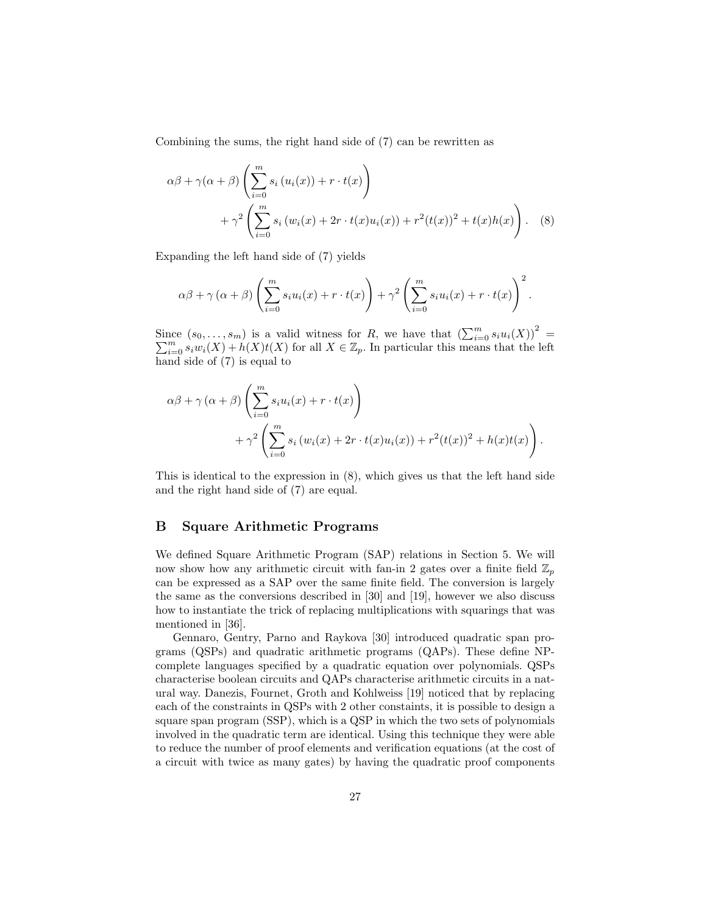Combining the sums, the right hand side of (7) can be rewritten as

$$
\alpha\beta + \gamma(\alpha + \beta) \left( \sum_{i=0}^{m} s_i (u_i(x)) + r \cdot t(x) \right)
$$
  
+ 
$$
\gamma^2 \left( \sum_{i=0}^{m} s_i (w_i(x) + 2r \cdot t(x)u_i(x)) + r^2 (t(x))^2 + t(x)h(x) \right).
$$
 (8)

Expanding the left hand side of (7) yields

$$
\alpha\beta + \gamma(\alpha + \beta) \left( \sum_{i=0}^{m} s_i u_i(x) + r \cdot t(x) \right) + \gamma^2 \left( \sum_{i=0}^{m} s_i u_i(x) + r \cdot t(x) \right)^2.
$$

Since  $(s_0, \ldots, s_m)$  is a valid witness for R, we have that  $\left(\sum_{i=0}^m s_i u_i(X)\right)^2 = \sum_{i=0}^m s_i w_i(X) + h(X)t(X)$  for all  $X \in \mathbb{Z}_p$ . In particular this means that the left hand side of (7) is equal to

$$
\alpha\beta + \gamma (\alpha + \beta) \left( \sum_{i=0}^{m} s_i u_i(x) + r \cdot t(x) \right)
$$
  
+ 
$$
\gamma^2 \left( \sum_{i=0}^{m} s_i \left( w_i(x) + 2r \cdot t(x) u_i(x) \right) + r^2 (t(x))^2 + h(x) t(x) \right).
$$

This is identical to the expression in (8), which gives us that the left hand side and the right hand side of (7) are equal.

# B Square Arithmetic Programs

We defined Square Arithmetic Program (SAP) relations in Section 5. We will now show how any arithmetic circuit with fan-in 2 gates over a finite field  $\mathbb{Z}_p$ can be expressed as a SAP over the same finite field. The conversion is largely the same as the conversions described in [30] and [19], however we also discuss how to instantiate the trick of replacing multiplications with squarings that was mentioned in [36].

Gennaro, Gentry, Parno and Raykova [30] introduced quadratic span programs (QSPs) and quadratic arithmetic programs (QAPs). These define NPcomplete languages specified by a quadratic equation over polynomials. QSPs characterise boolean circuits and QAPs characterise arithmetic circuits in a natural way. Danezis, Fournet, Groth and Kohlweiss [19] noticed that by replacing each of the constraints in QSPs with 2 other constaints, it is possible to design a square span program (SSP), which is a QSP in which the two sets of polynomials involved in the quadratic term are identical. Using this technique they were able to reduce the number of proof elements and verification equations (at the cost of a circuit with twice as many gates) by having the quadratic proof components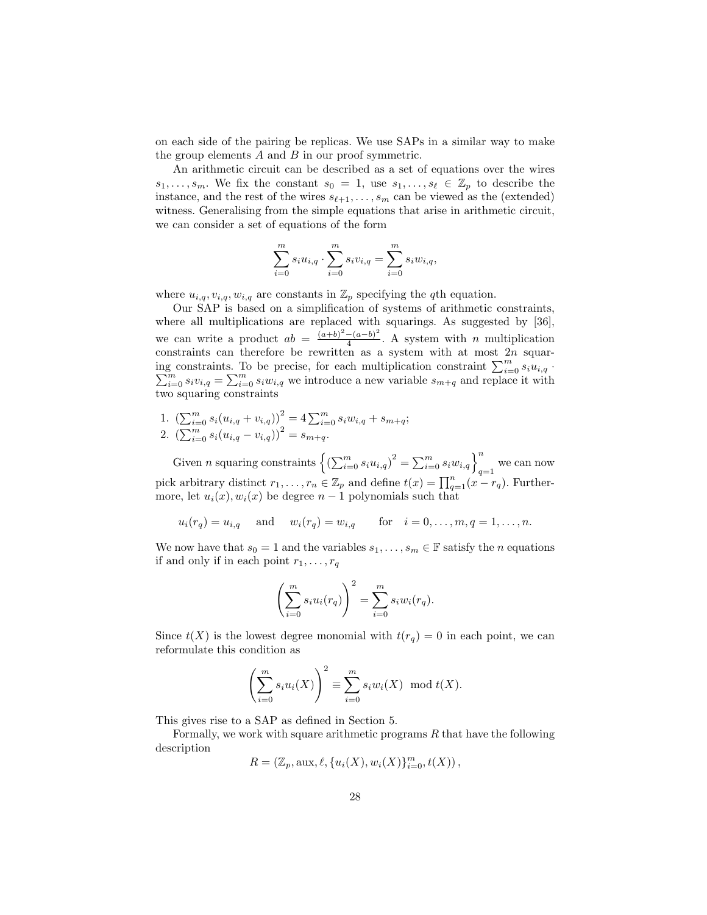on each side of the pairing be replicas. We use SAPs in a similar way to make the group elements  $A$  and  $B$  in our proof symmetric.

An arithmetic circuit can be described as a set of equations over the wires  $s_1, \ldots, s_m$ . We fix the constant  $s_0 = 1$ , use  $s_1, \ldots, s_\ell \in \mathbb{Z}_p$  to describe the instance, and the rest of the wires  $s_{\ell+1}, \ldots, s_m$  can be viewed as the (extended) witness. Generalising from the simple equations that arise in arithmetic circuit, we can consider a set of equations of the form

$$
\sum_{i=0}^{m} s_i u_{i,q} \cdot \sum_{i=0}^{m} s_i v_{i,q} = \sum_{i=0}^{m} s_i w_{i,q},
$$

where  $u_{i,q}, v_{i,q}, w_{i,q}$  are constants in  $\mathbb{Z}_p$  specifying the qth equation.

Our SAP is based on a simplification of systems of arithmetic constraints, where all multiplications are replaced with squarings. As suggested by [36], we can write a product  $ab = \frac{(a+b)^2 - (a-b)^2}{4}$ . A system with *n* multiplication  $\frac{1}{2}$  constraints can therefore be rewritten as a system with at most 2n squaring constraints. To be precise, for each multiplication constraint  $\sum_{i=0}^{m} s_i u_{i,q}$ .  $\sum_{i=0}^{m} s_i v_{i,q} = \sum_{i=0}^{m} s_i w_{i,q}$  we introduce a new variable  $s_{m+q}$  and replace it with two squaring constraints

1.  $\left(\sum_{i=0}^{m} s_i(u_{i,q} + v_{i,q})\right)^2 = 4 \sum_{i=0}^{m} s_i w_{i,q} + s_{m+q};$ 2.  $\left(\sum_{i=0}^{m} s_i (u_{i,q} - v_{i,q})\right)^2 = s_{m+q}.$ 

Given *n* squaring constraints  $\left\{ \left( \sum_{i=0}^{m} s_i u_{i,q} \right)^2 = \sum_{i=0}^{m} s_i w_{i,q} \right\}_{q=1}^n$  we can now pick arbitrary distinct  $r_1, \ldots, r_n \in \mathbb{Z}_p$  and define  $t(x) = \prod_{q=1}^n (x - r_q)$ . Furthermore, let  $u_i(x), w_i(x)$  be degree  $n-1$  polynomials such that

$$
u_i(r_q) = u_{i,q}
$$
 and  $w_i(r_q) = w_{i,q}$  for  $i = 0, ..., m, q = 1, ..., n$ .

We now have that  $s_0 = 1$  and the variables  $s_1, \ldots, s_m \in \mathbb{F}$  satisfy the *n* equations if and only if in each point  $r_1, \ldots, r_q$ 

$$
\left(\sum_{i=0}^{m} s_i u_i(r_q)\right)^2 = \sum_{i=0}^{m} s_i w_i(r_q).
$$

Since  $t(X)$  is the lowest degree monomial with  $t(r_q) = 0$  in each point, we can reformulate this condition as

$$
\left(\sum_{i=0}^{m} s_i u_i(X)\right)^2 \equiv \sum_{i=0}^{m} s_i w_i(X) \mod t(X).
$$

This gives rise to a SAP as defined in Section 5.

Formally, we work with square arithmetic programs R that have the following description

$$
R = (\mathbb{Z}_p, \text{aux}, \ell, \{u_i(X), w_i(X)\}_{i=0}^m, t(X)),
$$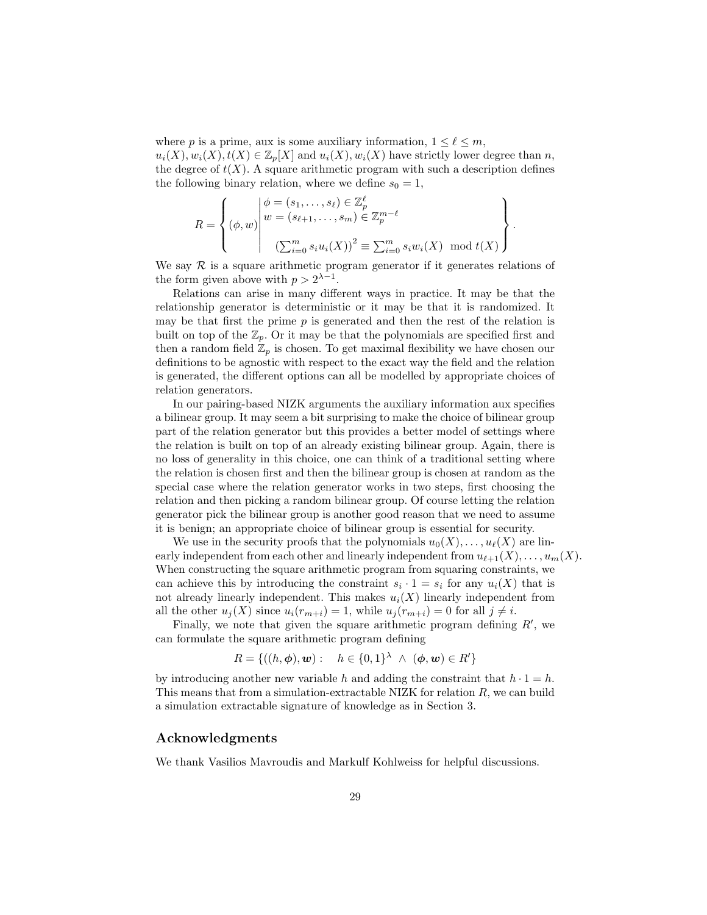where p is a prime, aux is some auxiliary information,  $1 \leq \ell \leq m$ ,  $u_i(X), w_i(X), t(X) \in \mathbb{Z}_p[X]$  and  $u_i(X), w_i(X)$  have strictly lower degree than n, the degree of  $t(X)$ . A square arithmetic program with such a description defines the following binary relation, where we define  $s_0 = 1$ ,

$$
R = \left\{ (\phi, w) \middle| \begin{aligned} \phi &= (s_1, \dots, s_\ell) \in \mathbb{Z}_p^\ell \\ w &= (s_{\ell+1}, \dots, s_m) \in \mathbb{Z}_p^{m-\ell} \\ \left(\sum_{i=0}^m s_i u_i(X)\right)^2 &\equiv \sum_{i=0}^m s_i w_i(X) \mod t(X) \end{aligned} \right\}.
$$

We say  $R$  is a square arithmetic program generator if it generates relations of the form given above with  $p > 2^{\lambda - 1}$ .

Relations can arise in many different ways in practice. It may be that the relationship generator is deterministic or it may be that it is randomized. It may be that first the prime  $p$  is generated and then the rest of the relation is built on top of the  $\mathbb{Z}_p$ . Or it may be that the polynomials are specified first and then a random field  $\mathbb{Z}_p$  is chosen. To get maximal flexibility we have chosen our definitions to be agnostic with respect to the exact way the field and the relation is generated, the different options can all be modelled by appropriate choices of relation generators.

In our pairing-based NIZK arguments the auxiliary information aux specifies a bilinear group. It may seem a bit surprising to make the choice of bilinear group part of the relation generator but this provides a better model of settings where the relation is built on top of an already existing bilinear group. Again, there is no loss of generality in this choice, one can think of a traditional setting where the relation is chosen first and then the bilinear group is chosen at random as the special case where the relation generator works in two steps, first choosing the relation and then picking a random bilinear group. Of course letting the relation generator pick the bilinear group is another good reason that we need to assume it is benign; an appropriate choice of bilinear group is essential for security.

We use in the security proofs that the polynomials  $u_0(X), \ldots, u_\ell(X)$  are linearly independent from each other and linearly independent from  $u_{\ell+1}(X), \ldots, u_m(X)$ . When constructing the square arithmetic program from squaring constraints, we can achieve this by introducing the constraint  $s_i \cdot 1 = s_i$  for any  $u_i(X)$  that is not already linearly independent. This makes  $u_i(X)$  linearly independent from all the other  $u_i(X)$  since  $u_i(r_{m+i}) = 1$ , while  $u_i(r_{m+i}) = 0$  for all  $j \neq i$ .

Finally, we note that given the square arithmetic program defining  $R'$ , we can formulate the square arithmetic program defining

$$
R = \{((h, \phi), \mathbf{w}): \quad h \in \{0, 1\}^\lambda \land (\phi, \mathbf{w}) \in R'\}
$$

by introducing another new variable h and adding the constraint that  $h \cdot 1 = h$ . This means that from a simulation-extractable NIZK for relation R, we can build a simulation extractable signature of knowledge as in Section 3.

# Acknowledgments

We thank Vasilios Mavroudis and Markulf Kohlweiss for helpful discussions.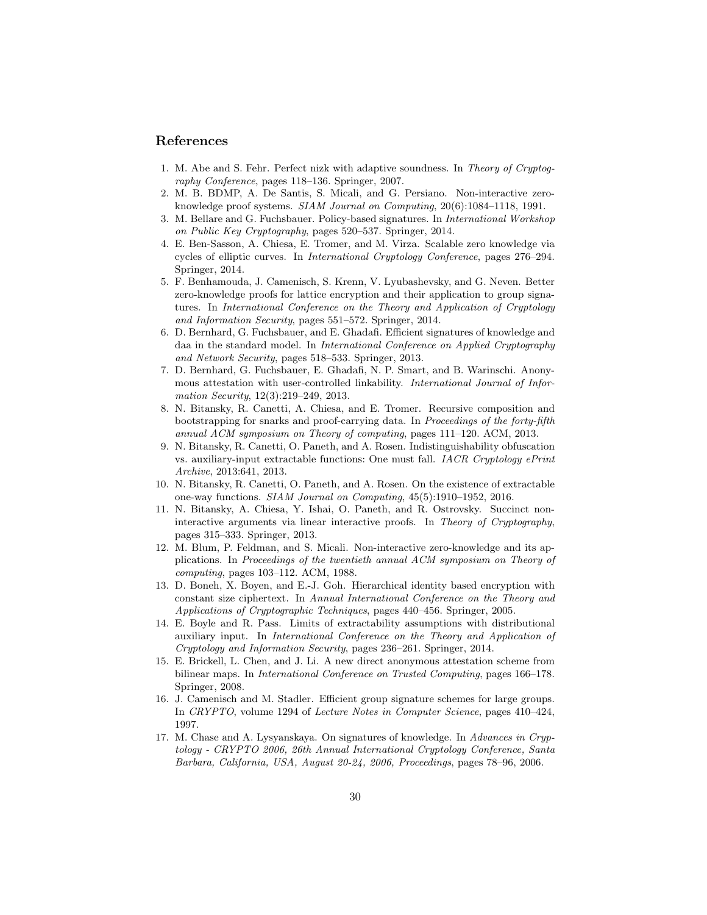# References

- 1. M. Abe and S. Fehr. Perfect nizk with adaptive soundness. In Theory of Cryptography Conference, pages 118–136. Springer, 2007.
- 2. M. B. BDMP, A. De Santis, S. Micali, and G. Persiano. Non-interactive zeroknowledge proof systems. SIAM Journal on Computing, 20(6):1084–1118, 1991.
- 3. M. Bellare and G. Fuchsbauer. Policy-based signatures. In International Workshop on Public Key Cryptography, pages 520–537. Springer, 2014.
- 4. E. Ben-Sasson, A. Chiesa, E. Tromer, and M. Virza. Scalable zero knowledge via cycles of elliptic curves. In International Cryptology Conference, pages 276–294. Springer, 2014.
- 5. F. Benhamouda, J. Camenisch, S. Krenn, V. Lyubashevsky, and G. Neven. Better zero-knowledge proofs for lattice encryption and their application to group signatures. In International Conference on the Theory and Application of Cryptology and Information Security, pages 551–572. Springer, 2014.
- 6. D. Bernhard, G. Fuchsbauer, and E. Ghadafi. Efficient signatures of knowledge and daa in the standard model. In International Conference on Applied Cryptography and Network Security, pages 518–533. Springer, 2013.
- 7. D. Bernhard, G. Fuchsbauer, E. Ghadafi, N. P. Smart, and B. Warinschi. Anonymous attestation with user-controlled linkability. International Journal of Information Security, 12(3):219–249, 2013.
- 8. N. Bitansky, R. Canetti, A. Chiesa, and E. Tromer. Recursive composition and bootstrapping for snarks and proof-carrying data. In Proceedings of the forty-fifth annual ACM symposium on Theory of computing, pages 111–120. ACM, 2013.
- 9. N. Bitansky, R. Canetti, O. Paneth, and A. Rosen. Indistinguishability obfuscation vs. auxiliary-input extractable functions: One must fall. IACR Cryptology ePrint Archive, 2013:641, 2013.
- 10. N. Bitansky, R. Canetti, O. Paneth, and A. Rosen. On the existence of extractable one-way functions. SIAM Journal on Computing, 45(5):1910–1952, 2016.
- 11. N. Bitansky, A. Chiesa, Y. Ishai, O. Paneth, and R. Ostrovsky. Succinct noninteractive arguments via linear interactive proofs. In Theory of Cryptography, pages 315–333. Springer, 2013.
- 12. M. Blum, P. Feldman, and S. Micali. Non-interactive zero-knowledge and its applications. In Proceedings of the twentieth annual ACM symposium on Theory of computing, pages 103–112. ACM, 1988.
- 13. D. Boneh, X. Boyen, and E.-J. Goh. Hierarchical identity based encryption with constant size ciphertext. In Annual International Conference on the Theory and Applications of Cryptographic Techniques, pages 440–456. Springer, 2005.
- 14. E. Boyle and R. Pass. Limits of extractability assumptions with distributional auxiliary input. In International Conference on the Theory and Application of Cryptology and Information Security, pages 236–261. Springer, 2014.
- 15. E. Brickell, L. Chen, and J. Li. A new direct anonymous attestation scheme from bilinear maps. In International Conference on Trusted Computing, pages 166–178. Springer, 2008.
- 16. J. Camenisch and M. Stadler. Efficient group signature schemes for large groups. In CRYPTO, volume 1294 of Lecture Notes in Computer Science, pages 410–424, 1997.
- 17. M. Chase and A. Lysyanskaya. On signatures of knowledge. In Advances in Cryptology - CRYPTO 2006, 26th Annual International Cryptology Conference, Santa Barbara, California, USA, August 20-24, 2006, Proceedings, pages 78–96, 2006.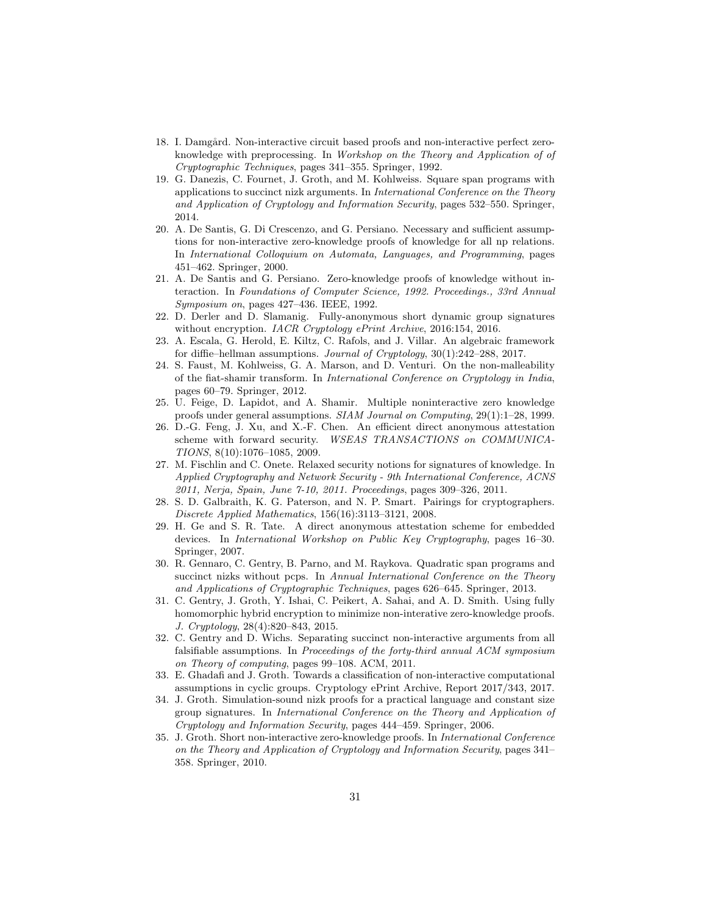- 18. I. Damgård. Non-interactive circuit based proofs and non-interactive perfect zeroknowledge with preprocessing. In Workshop on the Theory and Application of of Cryptographic Techniques, pages 341–355. Springer, 1992.
- 19. G. Danezis, C. Fournet, J. Groth, and M. Kohlweiss. Square span programs with applications to succinct nizk arguments. In International Conference on the Theory and Application of Cryptology and Information Security, pages 532–550. Springer, 2014.
- 20. A. De Santis, G. Di Crescenzo, and G. Persiano. Necessary and sufficient assumptions for non-interactive zero-knowledge proofs of knowledge for all np relations. In International Colloquium on Automata, Languages, and Programming, pages 451–462. Springer, 2000.
- 21. A. De Santis and G. Persiano. Zero-knowledge proofs of knowledge without interaction. In Foundations of Computer Science, 1992. Proceedings., 33rd Annual Symposium on, pages 427–436. IEEE, 1992.
- 22. D. Derler and D. Slamanig. Fully-anonymous short dynamic group signatures without encryption. IACR Cryptology ePrint Archive, 2016:154, 2016.
- 23. A. Escala, G. Herold, E. Kiltz, C. Rafols, and J. Villar. An algebraic framework for diffie–hellman assumptions. Journal of Cryptology, 30(1):242–288, 2017.
- 24. S. Faust, M. Kohlweiss, G. A. Marson, and D. Venturi. On the non-malleability of the fiat-shamir transform. In International Conference on Cryptology in India, pages 60–79. Springer, 2012.
- 25. U. Feige, D. Lapidot, and A. Shamir. Multiple noninteractive zero knowledge proofs under general assumptions. SIAM Journal on Computing, 29(1):1–28, 1999.
- 26. D.-G. Feng, J. Xu, and X.-F. Chen. An efficient direct anonymous attestation scheme with forward security. WSEAS TRANSACTIONS on COMMUNICA-TIONS, 8(10):1076–1085, 2009.
- 27. M. Fischlin and C. Onete. Relaxed security notions for signatures of knowledge. In Applied Cryptography and Network Security - 9th International Conference, ACNS 2011, Nerja, Spain, June 7-10, 2011. Proceedings, pages 309–326, 2011.
- 28. S. D. Galbraith, K. G. Paterson, and N. P. Smart. Pairings for cryptographers. Discrete Applied Mathematics, 156(16):3113–3121, 2008.
- 29. H. Ge and S. R. Tate. A direct anonymous attestation scheme for embedded devices. In International Workshop on Public Key Cryptography, pages 16–30. Springer, 2007.
- 30. R. Gennaro, C. Gentry, B. Parno, and M. Raykova. Quadratic span programs and succinct nizks without pcps. In Annual International Conference on the Theory and Applications of Cryptographic Techniques, pages 626–645. Springer, 2013.
- 31. C. Gentry, J. Groth, Y. Ishai, C. Peikert, A. Sahai, and A. D. Smith. Using fully homomorphic hybrid encryption to minimize non-interative zero-knowledge proofs. J. Cryptology, 28(4):820–843, 2015.
- 32. C. Gentry and D. Wichs. Separating succinct non-interactive arguments from all falsifiable assumptions. In Proceedings of the forty-third annual ACM symposium on Theory of computing, pages 99–108. ACM, 2011.
- 33. E. Ghadafi and J. Groth. Towards a classification of non-interactive computational assumptions in cyclic groups. Cryptology ePrint Archive, Report 2017/343, 2017.
- 34. J. Groth. Simulation-sound nizk proofs for a practical language and constant size group signatures. In International Conference on the Theory and Application of Cryptology and Information Security, pages 444–459. Springer, 2006.
- 35. J. Groth. Short non-interactive zero-knowledge proofs. In International Conference on the Theory and Application of Cryptology and Information Security, pages 341– 358. Springer, 2010.